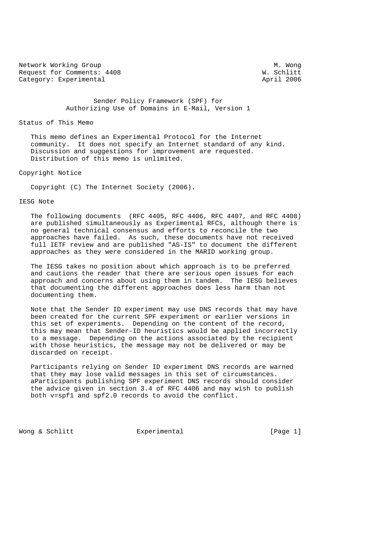Network Working Group M. Wong<br>Request for Comments: 4408 M. Schlitt Request for Comments: 4408 W. Schlitt<br>
Category: Experimental and April 2006 Category: Experimental

 Sender Policy Framework (SPF) for Authorizing Use of Domains in E-Mail, Version 1

### Status of This Memo

 This memo defines an Experimental Protocol for the Internet community. It does not specify an Internet standard of any kind. Discussion and suggestions for improvement are requested. Distribution of this memo is unlimited.

Copyright Notice

Copyright (C) The Internet Society (2006).

IESG Note

 The following documents (RFC 4405, RFC 4406, RFC 4407, and RFC 4408) are published simultaneously as Experimental RFCs, although there is no general technical consensus and efforts to reconcile the two approaches have failed. As such, these documents have not received full IETF review and are published "AS-IS" to document the different approaches as they were considered in the MARID working group.

 The IESG takes no position about which approach is to be preferred and cautions the reader that there are serious open issues for each approach and concerns about using them in tandem. The IESG believes that documenting the different approaches does less harm than not documenting them.

 Note that the Sender ID experiment may use DNS records that may have been created for the current SPF experiment or earlier versions in this set of experiments. Depending on the content of the record, this may mean that Sender-ID heuristics would be applied incorrectly to a message. Depending on the actions associated by the recipient with those heuristics, the message may not be delivered or may be discarded on receipt.

 Participants relying on Sender ID experiment DNS records are warned that they may lose valid messages in this set of circumstances. aParticipants publishing SPF experiment DNS records should consider the advice given in section 3.4 of RFC 4406 and may wish to publish both v=spf1 and spf2.0 records to avoid the conflict.

Wong & Schlitt **Experimental** [Page 1]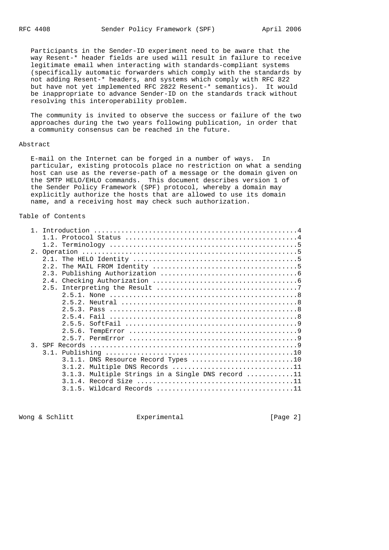Participants in the Sender-ID experiment need to be aware that the way Resent-\* header fields are used will result in failure to receive legitimate email when interacting with standards-compliant systems (specifically automatic forwarders which comply with the standards by not adding Resent-\* headers, and systems which comply with RFC 822 but have not yet implemented RFC 2822 Resent-\* semantics). It would be inappropriate to advance Sender-ID on the standards track without resolving this interoperability problem.

 The community is invited to observe the success or failure of the two approaches during the two years following publication, in order that a community consensus can be reached in the future.

#### Abstract

 E-mail on the Internet can be forged in a number of ways. In particular, existing protocols place no restriction on what a sending host can use as the reverse-path of a message or the domain given on the SMTP HELO/EHLO commands. This document describes version 1 of the Sender Policy Framework (SPF) protocol, whereby a domain may explicitly authorize the hosts that are allowed to use its domain name, and a receiving host may check such authorization.

## Table of Contents

| 2.5.6.                                            |
|---------------------------------------------------|
|                                                   |
|                                                   |
|                                                   |
| 3.1.1. DNS Resource Record Types 10               |
| $3.1.2$ . Multiple DNS Records 11                 |
| 3.1.3. Multiple Strings in a Single DNS record 11 |
|                                                   |
| Wildcard Records 11<br>3.1.5.                     |

Wong & Schlitt Experimental Experimental [Page 2]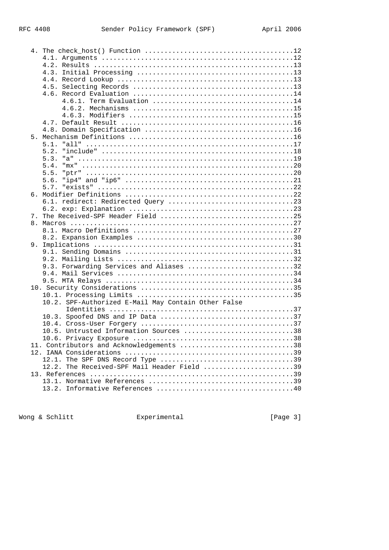|  | 5.1.                                                |
|--|-----------------------------------------------------|
|  | 5.2.                                                |
|  | 5.3.                                                |
|  | 5.4.                                                |
|  | 5.5.                                                |
|  |                                                     |
|  | 5.6.                                                |
|  | 5.7.                                                |
|  |                                                     |
|  |                                                     |
|  |                                                     |
|  |                                                     |
|  |                                                     |
|  |                                                     |
|  |                                                     |
|  |                                                     |
|  |                                                     |
|  |                                                     |
|  | 9.3. Forwarding Services and Aliases 32             |
|  |                                                     |
|  |                                                     |
|  |                                                     |
|  |                                                     |
|  | 10.2. SPF-Authorized E-Mail May Contain Other False |
|  |                                                     |
|  |                                                     |
|  |                                                     |
|  | 10.5. Untrusted Information Sources 38              |
|  |                                                     |
|  | 11. Contributors and Acknowledgements 38            |
|  |                                                     |
|  |                                                     |
|  | 12.2. The Received-SPF Mail Header Field 39         |
|  |                                                     |
|  |                                                     |
|  |                                                     |
|  |                                                     |

Wong & Schlitt **Experimental** Experimental [Page 3]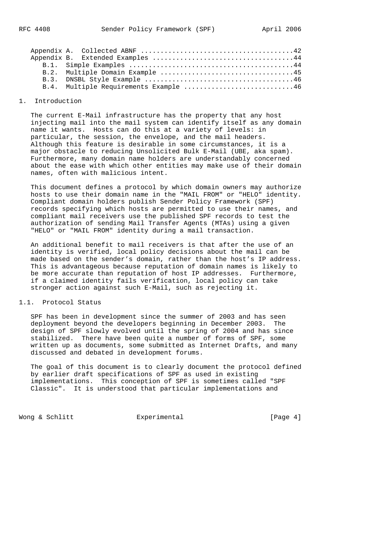|  | B.4. Multiple Requirements Example 46 |
|--|---------------------------------------|
|  |                                       |

# 1. Introduction

 The current E-Mail infrastructure has the property that any host injecting mail into the mail system can identify itself as any domain name it wants. Hosts can do this at a variety of levels: in particular, the session, the envelope, and the mail headers. Although this feature is desirable in some circumstances, it is a major obstacle to reducing Unsolicited Bulk E-Mail (UBE, aka spam). Furthermore, many domain name holders are understandably concerned about the ease with which other entities may make use of their domain names, often with malicious intent.

 This document defines a protocol by which domain owners may authorize hosts to use their domain name in the "MAIL FROM" or "HELO" identity. Compliant domain holders publish Sender Policy Framework (SPF) records specifying which hosts are permitted to use their names, and compliant mail receivers use the published SPF records to test the authorization of sending Mail Transfer Agents (MTAs) using a given "HELO" or "MAIL FROM" identity during a mail transaction.

 An additional benefit to mail receivers is that after the use of an identity is verified, local policy decisions about the mail can be made based on the sender's domain, rather than the host's IP address. This is advantageous because reputation of domain names is likely to be more accurate than reputation of host IP addresses. Furthermore, if a claimed identity fails verification, local policy can take stronger action against such E-Mail, such as rejecting it.

# 1.1. Protocol Status

 SPF has been in development since the summer of 2003 and has seen deployment beyond the developers beginning in December 2003. The design of SPF slowly evolved until the spring of 2004 and has since stabilized. There have been quite a number of forms of SPF, some written up as documents, some submitted as Internet Drafts, and many discussed and debated in development forums.

 The goal of this document is to clearly document the protocol defined by earlier draft specifications of SPF as used in existing implementations. This conception of SPF is sometimes called "SPF Classic". It is understood that particular implementations and

Wong & Schlitt **Experimental** Experimental [Page 4]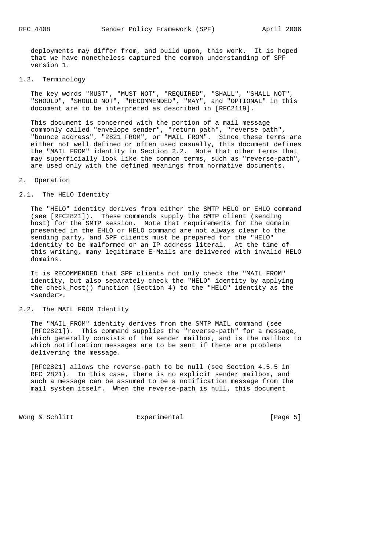deployments may differ from, and build upon, this work. It is hoped that we have nonetheless captured the common understanding of SPF version 1.

# 1.2. Terminology

 The key words "MUST", "MUST NOT", "REQUIRED", "SHALL", "SHALL NOT", "SHOULD", "SHOULD NOT", "RECOMMENDED", "MAY", and "OPTIONAL" in this document are to be interpreted as described in [RFC2119].

 This document is concerned with the portion of a mail message commonly called "envelope sender", "return path", "reverse path", "bounce address", "2821 FROM", or "MAIL FROM". Since these terms are either not well defined or often used casually, this document defines the "MAIL FROM" identity in Section 2.2. Note that other terms that may superficially look like the common terms, such as "reverse-path", are used only with the defined meanings from normative documents.

### 2. Operation

### 2.1. The HELO Identity

 The "HELO" identity derives from either the SMTP HELO or EHLO command (see [RFC2821]). These commands supply the SMTP client (sending host) for the SMTP session. Note that requirements for the domain presented in the EHLO or HELO command are not always clear to the sending party, and SPF clients must be prepared for the "HELO" identity to be malformed or an IP address literal. At the time of this writing, many legitimate E-Mails are delivered with invalid HELO domains.

 It is RECOMMENDED that SPF clients not only check the "MAIL FROM" identity, but also separately check the "HELO" identity by applying the check\_host() function (Section 4) to the "HELO" identity as the <sender>.

#### 2.2. The MAIL FROM Identity

 The "MAIL FROM" identity derives from the SMTP MAIL command (see [RFC2821]). This command supplies the "reverse-path" for a message, which generally consists of the sender mailbox, and is the mailbox to which notification messages are to be sent if there are problems delivering the message.

 [RFC2821] allows the reverse-path to be null (see Section 4.5.5 in RFC 2821). In this case, there is no explicit sender mailbox, and such a message can be assumed to be a notification message from the mail system itself. When the reverse-path is null, this document

Wong & Schlitt **Experimental** Experiment [Page 5]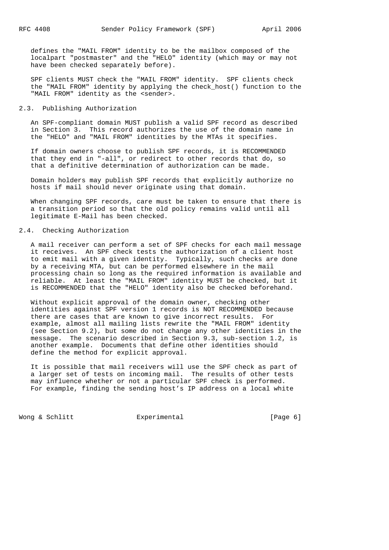defines the "MAIL FROM" identity to be the mailbox composed of the localpart "postmaster" and the "HELO" identity (which may or may not have been checked separately before).

 SPF clients MUST check the "MAIL FROM" identity. SPF clients check the "MAIL FROM" identity by applying the check\_host() function to the "MAIL FROM" identity as the <sender>.

# 2.3. Publishing Authorization

 An SPF-compliant domain MUST publish a valid SPF record as described in Section 3. This record authorizes the use of the domain name in the "HELO" and "MAIL FROM" identities by the MTAs it specifies.

 If domain owners choose to publish SPF records, it is RECOMMENDED that they end in "-all", or redirect to other records that do, so that a definitive determination of authorization can be made.

 Domain holders may publish SPF records that explicitly authorize no hosts if mail should never originate using that domain.

 When changing SPF records, care must be taken to ensure that there is a transition period so that the old policy remains valid until all legitimate E-Mail has been checked.

### 2.4. Checking Authorization

 A mail receiver can perform a set of SPF checks for each mail message it receives. An SPF check tests the authorization of a client host to emit mail with a given identity. Typically, such checks are done by a receiving MTA, but can be performed elsewhere in the mail processing chain so long as the required information is available and reliable. At least the "MAIL FROM" identity MUST be checked, but it is RECOMMENDED that the "HELO" identity also be checked beforehand.

 Without explicit approval of the domain owner, checking other identities against SPF version 1 records is NOT RECOMMENDED because there are cases that are known to give incorrect results. For example, almost all mailing lists rewrite the "MAIL FROM" identity (see Section 9.2), but some do not change any other identities in the message. The scenario described in Section 9.3, sub-section 1.2, is another example. Documents that define other identities should define the method for explicit approval.

 It is possible that mail receivers will use the SPF check as part of a larger set of tests on incoming mail. The results of other tests may influence whether or not a particular SPF check is performed. For example, finding the sending host's IP address on a local white

Wong & Schlitt Experimental Experimental [Page 6]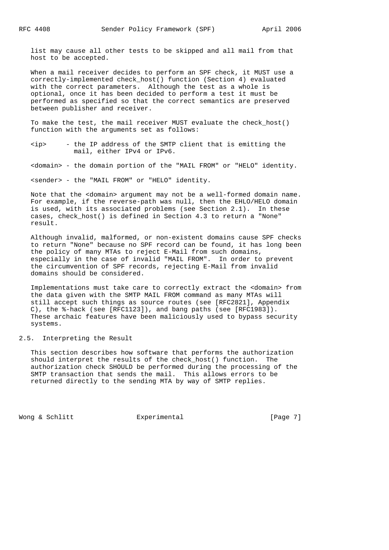list may cause all other tests to be skipped and all mail from that host to be accepted.

 When a mail receiver decides to perform an SPF check, it MUST use a correctly-implemented check\_host() function (Section 4) evaluated with the correct parameters. Although the test as a whole is optional, once it has been decided to perform a test it must be performed as specified so that the correct semantics are preserved between publisher and receiver.

 To make the test, the mail receiver MUST evaluate the check\_host() function with the arguments set as follows:

 <ip> - the IP address of the SMTP client that is emitting the mail, either IPv4 or IPv6.

<domain> - the domain portion of the "MAIL FROM" or "HELO" identity.

<sender> - the "MAIL FROM" or "HELO" identity.

 Note that the <domain> argument may not be a well-formed domain name. For example, if the reverse-path was null, then the EHLO/HELO domain is used, with its associated problems (see Section 2.1). In these cases, check\_host() is defined in Section 4.3 to return a "None" result.

 Although invalid, malformed, or non-existent domains cause SPF checks to return "None" because no SPF record can be found, it has long been the policy of many MTAs to reject E-Mail from such domains, especially in the case of invalid "MAIL FROM". In order to prevent the circumvention of SPF records, rejecting E-Mail from invalid domains should be considered.

 Implementations must take care to correctly extract the <domain> from the data given with the SMTP MAIL FROM command as many MTAs will still accept such things as source routes (see [RFC2821], Appendix C), the %-hack (see [RFC1123]), and bang paths (see [RFC1983]). These archaic features have been maliciously used to bypass security systems.

#### 2.5. Interpreting the Result

 This section describes how software that performs the authorization should interpret the results of the check\_host() function. The authorization check SHOULD be performed during the processing of the SMTP transaction that sends the mail. This allows errors to be returned directly to the sending MTA by way of SMTP replies.

Wong & Schlitt Experimental Experimental [Page 7]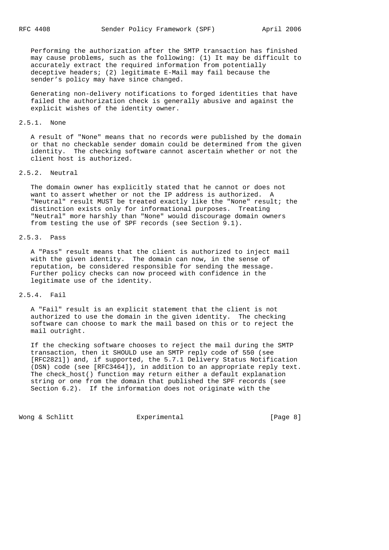Performing the authorization after the SMTP transaction has finished may cause problems, such as the following: (1) It may be difficult to accurately extract the required information from potentially deceptive headers; (2) legitimate E-Mail may fail because the sender's policy may have since changed.

 Generating non-delivery notifications to forged identities that have failed the authorization check is generally abusive and against the explicit wishes of the identity owner.

### 2.5.1. None

 A result of "None" means that no records were published by the domain or that no checkable sender domain could be determined from the given identity. The checking software cannot ascertain whether or not the client host is authorized.

# 2.5.2. Neutral

 The domain owner has explicitly stated that he cannot or does not want to assert whether or not the IP address is authorized. A "Neutral" result MUST be treated exactly like the "None" result; the distinction exists only for informational purposes. Treating "Neutral" more harshly than "None" would discourage domain owners from testing the use of SPF records (see Section 9.1).

# 2.5.3. Pass

 A "Pass" result means that the client is authorized to inject mail with the given identity. The domain can now, in the sense of reputation, be considered responsible for sending the message. Further policy checks can now proceed with confidence in the legitimate use of the identity.

### 2.5.4. Fail

 A "Fail" result is an explicit statement that the client is not authorized to use the domain in the given identity. The checking software can choose to mark the mail based on this or to reject the mail outright.

 If the checking software chooses to reject the mail during the SMTP transaction, then it SHOULD use an SMTP reply code of 550 (see [RFC2821]) and, if supported, the 5.7.1 Delivery Status Notification (DSN) code (see [RFC3464]), in addition to an appropriate reply text. The check\_host() function may return either a default explanation string or one from the domain that published the SPF records (see Section 6.2). If the information does not originate with the

Wong & Schlitt Experimental Experimental [Page 8]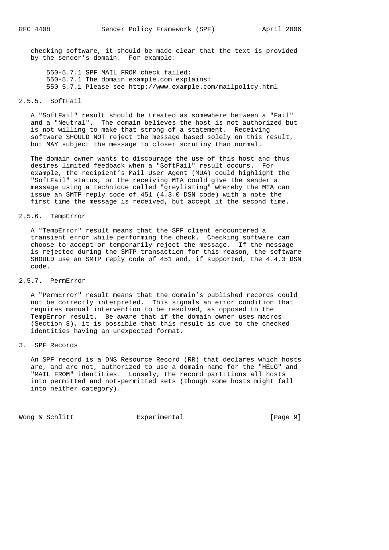checking software, it should be made clear that the text is provided by the sender's domain. For example:

 550-5.7.1 SPF MAIL FROM check failed: 550-5.7.1 The domain example.com explains: 550 5.7.1 Please see http://www.example.com/mailpolicy.html

## 2.5.5. SoftFail

 A "SoftFail" result should be treated as somewhere between a "Fail" and a "Neutral". The domain believes the host is not authorized but is not willing to make that strong of a statement. Receiving software SHOULD NOT reject the message based solely on this result, but MAY subject the message to closer scrutiny than normal.

 The domain owner wants to discourage the use of this host and thus desires limited feedback when a "SoftFail" result occurs. For example, the recipient's Mail User Agent (MUA) could highlight the "SoftFail" status, or the receiving MTA could give the sender a message using a technique called "greylisting" whereby the MTA can issue an SMTP reply code of 451 (4.3.0 DSN code) with a note the first time the message is received, but accept it the second time.

# 2.5.6. TempError

 A "TempError" result means that the SPF client encountered a transient error while performing the check. Checking software can choose to accept or temporarily reject the message. If the message is rejected during the SMTP transaction for this reason, the software SHOULD use an SMTP reply code of 451 and, if supported, the 4.4.3 DSN code.

### 2.5.7. PermError

 A "PermError" result means that the domain's published records could not be correctly interpreted. This signals an error condition that requires manual intervention to be resolved, as opposed to the TempError result. Be aware that if the domain owner uses macros (Section 8), it is possible that this result is due to the checked identities having an unexpected format.

# 3. SPF Records

 An SPF record is a DNS Resource Record (RR) that declares which hosts are, and are not, authorized to use a domain name for the "HELO" and "MAIL FROM" identities. Loosely, the record partitions all hosts into permitted and not-permitted sets (though some hosts might fall into neither category).

Wong & Schlitt **Experimental** Experiment [Page 9]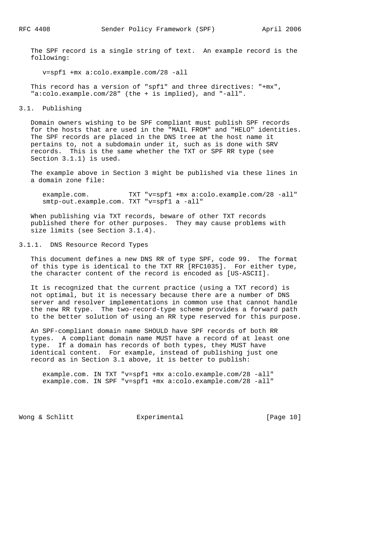The SPF record is a single string of text. An example record is the following:

v=spf1 +mx a:colo.example.com/28 -all

 This record has a version of "spf1" and three directives: "+mx", "a:colo.example.com/28" (the + is implied), and "-all".

#### 3.1. Publishing

 Domain owners wishing to be SPF compliant must publish SPF records for the hosts that are used in the "MAIL FROM" and "HELO" identities. The SPF records are placed in the DNS tree at the host name it pertains to, not a subdomain under it, such as is done with SRV records. This is the same whether the TXT or SPF RR type (see Section 3.1.1) is used.

 The example above in Section 3 might be published via these lines in a domain zone file:

 example.com. TXT "v=spf1 +mx a:colo.example.com/28 -all" smtp-out.example.com. TXT "v=spf1 a -all"

 When publishing via TXT records, beware of other TXT records published there for other purposes. They may cause problems with size limits (see Section 3.1.4).

3.1.1. DNS Resource Record Types

 This document defines a new DNS RR of type SPF, code 99. The format of this type is identical to the TXT RR [RFC1035]. For either type, the character content of the record is encoded as [US-ASCII].

 It is recognized that the current practice (using a TXT record) is not optimal, but it is necessary because there are a number of DNS server and resolver implementations in common use that cannot handle the new RR type. The two-record-type scheme provides a forward path to the better solution of using an RR type reserved for this purpose.

 An SPF-compliant domain name SHOULD have SPF records of both RR types. A compliant domain name MUST have a record of at least one type. If a domain has records of both types, they MUST have identical content. For example, instead of publishing just one record as in Section 3.1 above, it is better to publish:

 example.com. IN TXT "v=spf1 +mx a:colo.example.com/28 -all" example.com. IN SPF "v=spf1 +mx a:colo.example.com/28 -all"

Wong & Schlitt Experimental [Page 10]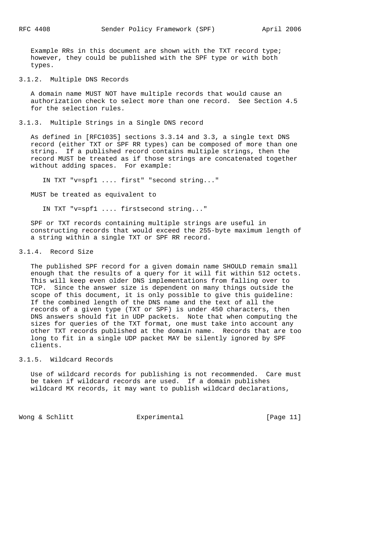Example RRs in this document are shown with the TXT record type; however, they could be published with the SPF type or with both types.

# 3.1.2. Multiple DNS Records

 A domain name MUST NOT have multiple records that would cause an authorization check to select more than one record. See Section 4.5 for the selection rules.

3.1.3. Multiple Strings in a Single DNS record

 As defined in [RFC1035] sections 3.3.14 and 3.3, a single text DNS record (either TXT or SPF RR types) can be composed of more than one string. If a published record contains multiple strings, then the record MUST be treated as if those strings are concatenated together without adding spaces. For example:

IN TXT "v=spf1 .... first" "second string..."

MUST be treated as equivalent to

IN TXT "v=spf1 .... firstsecond string..."

 SPF or TXT records containing multiple strings are useful in constructing records that would exceed the 255-byte maximum length of a string within a single TXT or SPF RR record.

# 3.1.4. Record Size

 The published SPF record for a given domain name SHOULD remain small enough that the results of a query for it will fit within 512 octets. This will keep even older DNS implementations from falling over to TCP. Since the answer size is dependent on many things outside the scope of this document, it is only possible to give this guideline: If the combined length of the DNS name and the text of all the records of a given type (TXT or SPF) is under 450 characters, then DNS answers should fit in UDP packets. Note that when computing the sizes for queries of the TXT format, one must take into account any other TXT records published at the domain name. Records that are too long to fit in a single UDP packet MAY be silently ignored by SPF clients.

#### 3.1.5. Wildcard Records

 Use of wildcard records for publishing is not recommended. Care must be taken if wildcard records are used. If a domain publishes wildcard MX records, it may want to publish wildcard declarations,

Wong & Schlitt Experimental Form [Page 11]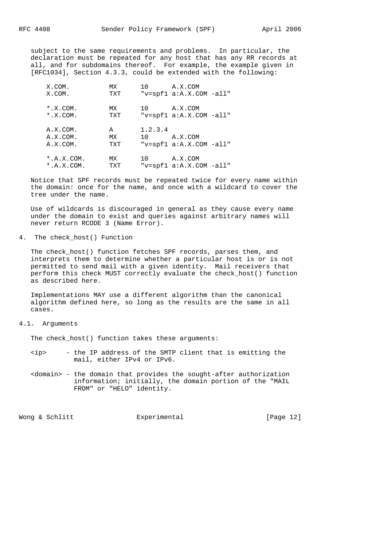subject to the same requirements and problems. In particular, the declaration must be repeated for any host that has any RR records at all, and for subdomains thereof. For example, the example given in [RFC1034], Section 4.3.3, could be extended with the following:

| X.COM.<br>X.COM.                   | МX<br>TXT      | 10              | A.X.COM<br>" $v = spf1 a:A.X.COM -all"$  |
|------------------------------------|----------------|-----------------|------------------------------------------|
| $*$ .X.COM.<br>$*$ .X.COM.         | МX<br>TXT      | 10              | A.X.COM<br>" $v=spf1 a:A.X.COM -all"$    |
| A.X.COM.<br>A.X.COM.<br>A.X.COM.   | A<br>МX<br>TXT | 1.2.3.4<br>10 D | A.X.COM<br>" $v=spf1$ a:A.X.COM $-al1$ " |
| $*, A, X, COM.$<br>$*, A, X, COM.$ | МX<br>TXT      | 10              | A.X.COM<br>" $v=spf1 a:A.X.COM -all"$    |

 Notice that SPF records must be repeated twice for every name within the domain: once for the name, and once with a wildcard to cover the tree under the name.

 Use of wildcards is discouraged in general as they cause every name under the domain to exist and queries against arbitrary names will never return RCODE 3 (Name Error).

# 4. The check\_host() Function

 The check\_host() function fetches SPF records, parses them, and interprets them to determine whether a particular host is or is not permitted to send mail with a given identity. Mail receivers that perform this check MUST correctly evaluate the check\_host() function as described here.

 Implementations MAY use a different algorithm than the canonical algorithm defined here, so long as the results are the same in all cases.

# 4.1. Arguments

The check\_host() function takes these arguments:

- <ip> the IP address of the SMTP client that is emitting the mail, either IPv4 or IPv6.
- <domain> the domain that provides the sought-after authorization information; initially, the domain portion of the "MAIL FROM" or "HELO" identity.

Wong & Schlitt Experimental [Page 12]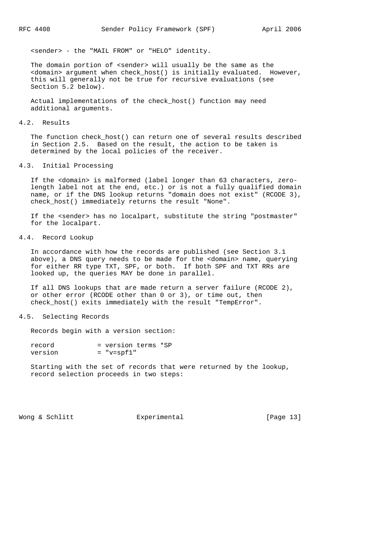<sender> - the "MAIL FROM" or "HELO" identity.

The domain portion of <sender> will usually be the same as the <domain> argument when check\_host() is initially evaluated. However, this will generally not be true for recursive evaluations (see Section 5.2 below).

 Actual implementations of the check\_host() function may need additional arguments.

#### 4.2. Results

 The function check\_host() can return one of several results described in Section 2.5. Based on the result, the action to be taken is determined by the local policies of the receiver.

## 4.3. Initial Processing

 If the <domain> is malformed (label longer than 63 characters, zero length label not at the end, etc.) or is not a fully qualified domain name, or if the DNS lookup returns "domain does not exist" (RCODE 3), check\_host() immediately returns the result "None".

 If the <sender> has no localpart, substitute the string "postmaster" for the localpart.

# 4.4. Record Lookup

 In accordance with how the records are published (see Section 3.1 above), a DNS query needs to be made for the <domain> name, querying for either RR type TXT, SPF, or both. If both SPF and TXT RRs are looked up, the queries MAY be done in parallel.

 If all DNS lookups that are made return a server failure (RCODE 2), or other error (RCODE other than 0 or 3), or time out, then check\_host() exits immediately with the result "TempError".

#### 4.5. Selecting Records

Records begin with a version section:

| record  | = version terms *SP |  |
|---------|---------------------|--|
| version | $=$ "v=spf1"        |  |

 Starting with the set of records that were returned by the lookup, record selection proceeds in two steps:

Wong & Schlitt **Experimental** Experimental [Page 13]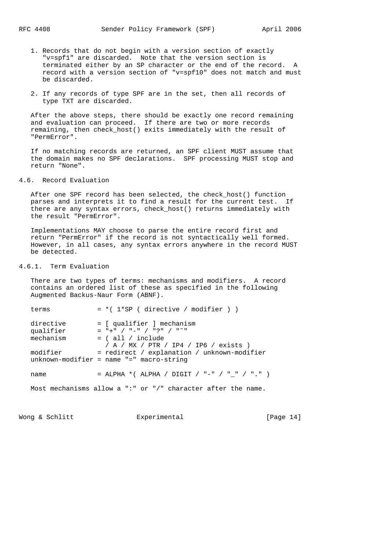- 1. Records that do not begin with a version section of exactly "v=spf1" are discarded. Note that the version section is terminated either by an SP character or the end of the record. A record with a version section of "v=spf10" does not match and must be discarded.
- 2. If any records of type SPF are in the set, then all records of type TXT are discarded.

 After the above steps, there should be exactly one record remaining and evaluation can proceed. If there are two or more records remaining, then check\_host() exits immediately with the result of "PermError".

 If no matching records are returned, an SPF client MUST assume that the domain makes no SPF declarations. SPF processing MUST stop and return "None".

4.6. Record Evaluation

After one SPF record has been selected, the check host() function parses and interprets it to find a result for the current test. If there are any syntax errors, check\_host() returns immediately with the result "PermError".

 Implementations MAY choose to parse the entire record first and return "PermError" if the record is not syntactically well formed. However, in all cases, any syntax errors anywhere in the record MUST be detected.

## 4.6.1. Term Evaluation

 There are two types of terms: mechanisms and modifiers. A record contains an ordered list of these as specified in the following Augmented Backus-Naur Form (ABNF).

| terms                  | $= *$ ( $1*SP$ ( directive / modifier ) )                                                 |
|------------------------|-------------------------------------------------------------------------------------------|
| directive<br>qualifier | = [ qualifier ] mechanism<br>$=$ "+" / "-" / "?" / "~"                                    |
| mechanism              | $=$ ( all / include<br>/ A / MX / PTR / IP4 / IP6 / exists )                              |
| modifier               | = redirect / explanation / unknown-modifier<br>$unknown-modifier = name "=" macro-string$ |
| name                   | = ALPHA *( ALPHA / DIGIT / "-" / " " / "." )                                              |
|                        | Most mechanisms allow a ":" or "/" character after the name.                              |

Wong & Schlitt Experimental [Page 14]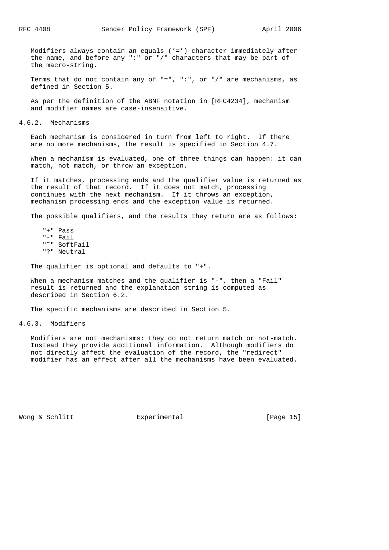Modifiers always contain an equals ('=') character immediately after the name, and before any ":" or "/" characters that may be part of the macro-string.

Terms that do not contain any of  $"=" " " " " , or " /*" are mechanisms, as$ defined in Section 5.

 As per the definition of the ABNF notation in [RFC4234], mechanism and modifier names are case-insensitive.

4.6.2. Mechanisms

 Each mechanism is considered in turn from left to right. If there are no more mechanisms, the result is specified in Section 4.7.

 When a mechanism is evaluated, one of three things can happen: it can match, not match, or throw an exception.

 If it matches, processing ends and the qualifier value is returned as the result of that record. If it does not match, processing continues with the next mechanism. If it throws an exception, mechanism processing ends and the exception value is returned.

The possible qualifiers, and the results they return are as follows:

 "+" Pass "-" Fail "˜" SoftFail "?" Neutral

The qualifier is optional and defaults to "+".

When a mechanism matches and the qualifier is "-", then a "Fail" result is returned and the explanation string is computed as described in Section 6.2.

The specific mechanisms are described in Section 5.

4.6.3. Modifiers

 Modifiers are not mechanisms: they do not return match or not-match. Instead they provide additional information. Although modifiers do not directly affect the evaluation of the record, the "redirect" modifier has an effect after all the mechanisms have been evaluated.

Wong & Schlitt Experimental [Page 15]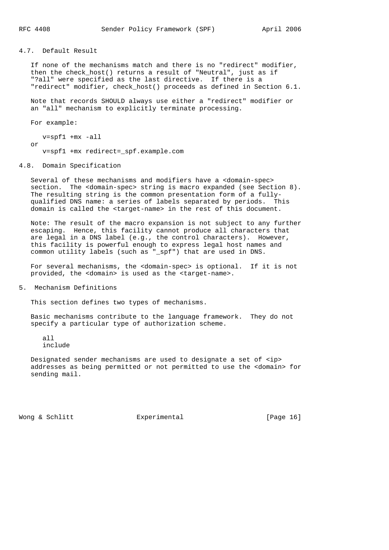4.7. Default Result

 If none of the mechanisms match and there is no "redirect" modifier, then the check\_host() returns a result of "Neutral", just as if "?all" were specified as the last directive. If there is a "redirect" modifier, check\_host() proceeds as defined in Section 6.1.

 Note that records SHOULD always use either a "redirect" modifier or an "all" mechanism to explicitly terminate processing.

For example:

 v=spf1 +mx -all or v=spf1 +mx redirect=\_spf.example.com

#### 4.8. Domain Specification

 Several of these mechanisms and modifiers have a <domain-spec> section. The <domain-spec> string is macro expanded (see Section 8). The resulting string is the common presentation form of a fully qualified DNS name: a series of labels separated by periods. This domain is called the <target-name> in the rest of this document.

 Note: The result of the macro expansion is not subject to any further escaping. Hence, this facility cannot produce all characters that are legal in a DNS label (e.g., the control characters). However, this facility is powerful enough to express legal host names and common utility labels (such as "\_spf") that are used in DNS.

 For several mechanisms, the <domain-spec> is optional. If it is not provided, the <domain> is used as the <target-name>.

5. Mechanism Definitions

This section defines two types of mechanisms.

 Basic mechanisms contribute to the language framework. They do not specify a particular type of authorization scheme.

 all include

 Designated sender mechanisms are used to designate a set of <ip> addresses as being permitted or not permitted to use the <domain> for sending mail.

Wong & Schlitt Experimental [Page 16]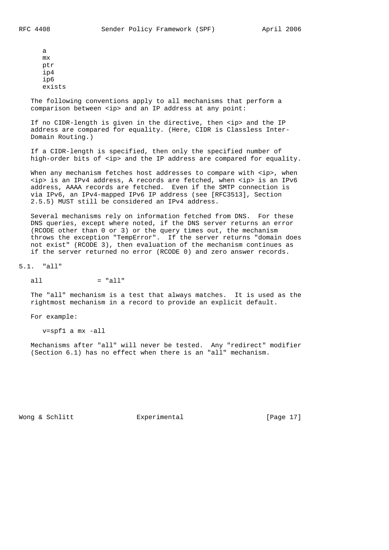a mx ptr ip4 ip6 exists

 The following conventions apply to all mechanisms that perform a comparison between <ip> and an IP address at any point:

If no CIDR-length is given in the directive, then <ip> and the IP address are compared for equality. (Here, CIDR is Classless Inter- Domain Routing.)

 If a CIDR-length is specified, then only the specified number of high-order bits of <ip> and the IP address are compared for equality.

When any mechanism fetches host addresses to compare with <ip>, when <ip> is an IPv4 address, A records are fetched, when <ip> is an IPv6 address, AAAA records are fetched. Even if the SMTP connection is via IPv6, an IPv4-mapped IPv6 IP address (see [RFC3513], Section 2.5.5) MUST still be considered an IPv4 address.

 Several mechanisms rely on information fetched from DNS. For these DNS queries, except where noted, if the DNS server returns an error (RCODE other than 0 or 3) or the query times out, the mechanism throws the exception "TempError". If the server returns "domain does not exist" (RCODE 3), then evaluation of the mechanism continues as if the server returned no error (RCODE 0) and zero answer records.

5.1. "all"

all  $=$  "all"

 The "all" mechanism is a test that always matches. It is used as the rightmost mechanism in a record to provide an explicit default.

For example:

v=spf1 a mx -all

 Mechanisms after "all" will never be tested. Any "redirect" modifier (Section 6.1) has no effect when there is an "all" mechanism.

Wong & Schlitt Experimental [Page 17]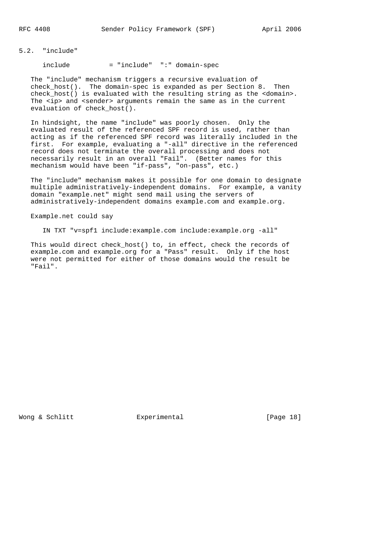### 5.2. "include"

include = "include" ":" domain-spec

 The "include" mechanism triggers a recursive evaluation of check\_host(). The domain-spec is expanded as per Section 8. Then check\_host() is evaluated with the resulting string as the <domain>. The <ip> and <sender> arguments remain the same as in the current evaluation of check host().

 In hindsight, the name "include" was poorly chosen. Only the evaluated result of the referenced SPF record is used, rather than acting as if the referenced SPF record was literally included in the first. For example, evaluating a "-all" directive in the referenced record does not terminate the overall processing and does not necessarily result in an overall "Fail". (Better names for this mechanism would have been "if-pass", "on-pass", etc.)

 The "include" mechanism makes it possible for one domain to designate multiple administratively-independent domains. For example, a vanity domain "example.net" might send mail using the servers of administratively-independent domains example.com and example.org.

Example.net could say

IN TXT "v=spf1 include:example.com include:example.org -all"

 This would direct check\_host() to, in effect, check the records of example.com and example.org for a "Pass" result. Only if the host were not permitted for either of those domains would the result be "Fail".

Wong & Schlitt Experimental [Page 18]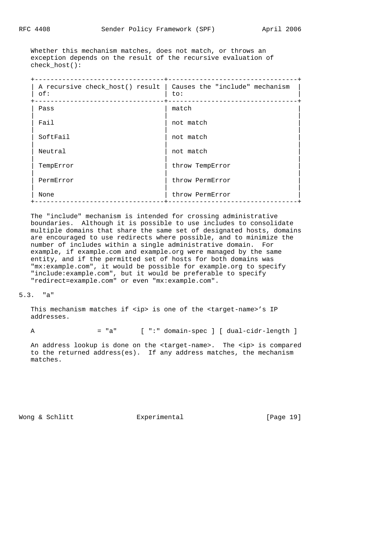Whether this mechanism matches, does not match, or throws an exception depends on the result of the recursive evaluation of check host():

| A recursive check_host() result   Causes the "include" mechanism<br>of: | to:             |
|-------------------------------------------------------------------------|-----------------|
| Pass                                                                    | match           |
| Fail                                                                    | not match       |
| SoftFail                                                                | not match       |
| Neutral                                                                 | not match       |
| TempError                                                               | throw TempError |
| PermError                                                               | throw PermError |
| None                                                                    | throw PermError |
|                                                                         |                 |

 The "include" mechanism is intended for crossing administrative boundaries. Although it is possible to use includes to consolidate multiple domains that share the same set of designated hosts, domains are encouraged to use redirects where possible, and to minimize the number of includes within a single administrative domain. For example, if example.com and example.org were managed by the same entity, and if the permitted set of hosts for both domains was "mx:example.com", it would be possible for example.org to specify "include:example.com", but it would be preferable to specify "redirect=example.com" or even "mx:example.com".

#### 5.3. "a"

This mechanism matches if <ip> is one of the <target-name>'s IP addresses.

A = "a" [ ":" domain-spec ] [ dual-cidr-length ]

 An address lookup is done on the <target-name>. The <ip> is compared to the returned address(es). If any address matches, the mechanism matches.

Wong & Schlitt **Experimental** Experimental [Page 19]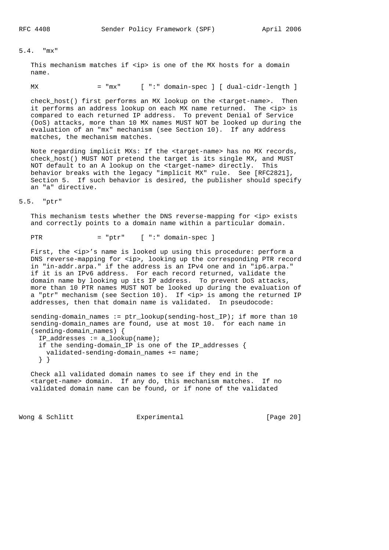# 5.4. "mx"

This mechanism matches if <ip> is one of the MX hosts for a domain name.

MX = "mx" [ ":" domain-spec ] [ dual-cidr-length ]

 check\_host() first performs an MX lookup on the <target-name>. Then it performs an address lookup on each MX name returned. The <ip> is compared to each returned IP address. To prevent Denial of Service (DoS) attacks, more than 10 MX names MUST NOT be looked up during the evaluation of an "mx" mechanism (see Section 10). If any address matches, the mechanism matches.

 Note regarding implicit MXs: If the <target-name> has no MX records, check\_host() MUST NOT pretend the target is its single MX, and MUST NOT default to an A lookup on the <target-name> directly. This behavior breaks with the legacy "implicit MX" rule. See [RFC2821], Section 5. If such behavior is desired, the publisher should specify an "a" directive.

### 5.5. "ptr"

This mechanism tests whether the DNS reverse-mapping for <ip> exists and correctly points to a domain name within a particular domain.

 $PTR$  = "ptr" [ ":" domain-spec ]

First, the <ip>'s name is looked up using this procedure: perform a DNS reverse-mapping for <ip>, looking up the corresponding PTR record in "in-addr.arpa." if the address is an IPv4 one and in "ip6.arpa." if it is an IPv6 address. For each record returned, validate the domain name by looking up its IP address. To prevent DoS attacks, more than 10 PTR names MUST NOT be looked up during the evaluation of a "ptr" mechanism (see Section 10). If <ip> is among the returned IP addresses, then that domain name is validated. In pseudocode:

sending-domain\_names :=  $ptr\_lookup(sending-host\_IP)$ ; if more than 10 sending-domain\_names are found, use at most 10. for each name in (sending-domain\_names) { IP\_addresses := a\_lookup(name); if the sending-domain\_IP is one of the IP\_addresses { validated-sending-domain\_names += name; } }

 Check all validated domain names to see if they end in the <target-name> domain. If any do, this mechanism matches. If no validated domain name can be found, or if none of the validated

Wong & Schlitt **Experimental** Experimental [Page 20]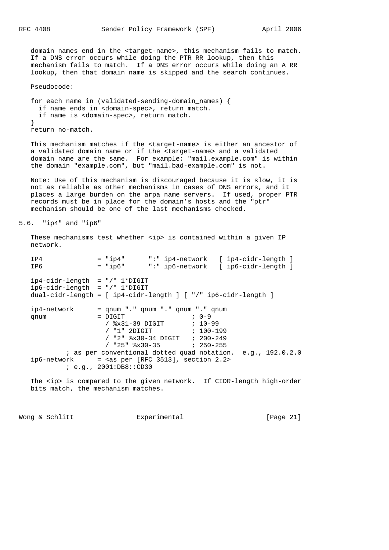domain names end in the <target-name>, this mechanism fails to match. If a DNS error occurs while doing the PTR RR lookup, then this mechanism fails to match. If a DNS error occurs while doing an A RR lookup, then that domain name is skipped and the search continues.

Pseudocode:

 for each name in (validated-sending-domain\_names) { if name ends in <domain-spec>, return match. if name is <domain-spec>, return match. } return no-match.

 This mechanism matches if the <target-name> is either an ancestor of a validated domain name or if the <target-name> and a validated domain name are the same. For example: "mail.example.com" is within the domain "example.com", but "mail.bad-example.com" is not.

 Note: Use of this mechanism is discouraged because it is slow, it is not as reliable as other mechanisms in cases of DNS errors, and it places a large burden on the arpa name servers. If used, proper PTR records must be in place for the domain's hosts and the "ptr" mechanism should be one of the last mechanisms checked.

```
5.6. "ip4" and "ip6"
```
These mechanisms test whether <ip> is contained within a given IP network.

IP4 = "ip4" ":" ip4-network [ ip4-cidr-length ]<br>IP6 = "ip6" ":" ip6-network [ ip6-cidr-length ] IP6 = "ip6" ":" ip6-network [ ip6-cidr-length ] ip4-cidr-length = "/" 1\*DIGIT ip6-cidr-length = "/" 1\*DIGIT dual-cidr-length = [ ip4-cidr-length ] [ "/" ip6-cidr-length ]  $ip4-network$  = qnum "." qnum "." qnum "." qnum "." qnum qnum  $=$   $DIGIT$  ;  $0-9$  / %x31-39 DIGIT ; 10-99 / "1" 2DIGIT ; 100-199 / "2" %x30-34 DIGIT ; 200-249 / "25" %x30-35 ; 250-255 ; as per conventional dotted quad notation. e.g., 192.0.2.0  $ip6-network$  = <as per [RFC 3513], section 2.2> ; e.g., 2001:DB8::CD30

The <ip> is compared to the given network. If CIDR-length high-order bits match, the mechanism matches.

Wong & Schlitt **Experimental** [Page 21]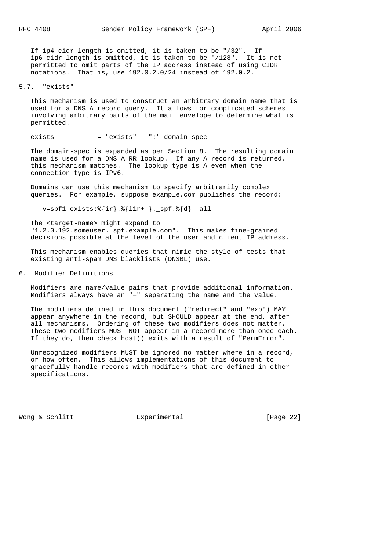If ip4-cidr-length is omitted, it is taken to be "/32". If ip6-cidr-length is omitted, it is taken to be "/128". It is not permitted to omit parts of the IP address instead of using CIDR notations. That is, use 192.0.2.0/24 instead of 192.0.2.

5.7. "exists"

 This mechanism is used to construct an arbitrary domain name that is used for a DNS A record query. It allows for complicated schemes involving arbitrary parts of the mail envelope to determine what is permitted.

exists = "exists" ":" domain-spec

 The domain-spec is expanded as per Section 8. The resulting domain name is used for a DNS A RR lookup. If any A record is returned, this mechanism matches. The lookup type is A even when the connection type is IPv6.

 Domains can use this mechanism to specify arbitrarily complex queries. For example, suppose example.com publishes the record:

v=spf1 exists:%{ir}.%{l1r+-}.\_spf.%{d} -all

 The <target-name> might expand to "1.2.0.192.someuser.\_spf.example.com". This makes fine-grained decisions possible at the level of the user and client IP address.

 This mechanism enables queries that mimic the style of tests that existing anti-spam DNS blacklists (DNSBL) use.

6. Modifier Definitions

 Modifiers are name/value pairs that provide additional information. Modifiers always have an "=" separating the name and the value.

 The modifiers defined in this document ("redirect" and "exp") MAY appear anywhere in the record, but SHOULD appear at the end, after all mechanisms. Ordering of these two modifiers does not matter. These two modifiers MUST NOT appear in a record more than once each. If they do, then check\_host() exits with a result of "PermError".

 Unrecognized modifiers MUST be ignored no matter where in a record, or how often. This allows implementations of this document to gracefully handle records with modifiers that are defined in other specifications.

Wong & Schlitt Experimental [Page 22]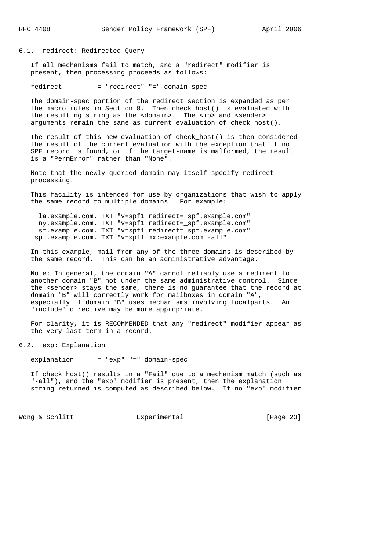6.1. redirect: Redirected Query

 If all mechanisms fail to match, and a "redirect" modifier is present, then processing proceeds as follows:

redirect = "redirect" "=" domain-spec

 The domain-spec portion of the redirect section is expanded as per the macro rules in Section 8. Then check host() is evaluated with the resulting string as the <domain>. The <ip> and <sender> arguments remain the same as current evaluation of check\_host().

 The result of this new evaluation of check\_host() is then considered the result of the current evaluation with the exception that if no SPF record is found, or if the target-name is malformed, the result is a "PermError" rather than "None".

 Note that the newly-queried domain may itself specify redirect processing.

 This facility is intended for use by organizations that wish to apply the same record to multiple domains. For example:

la.example.com. TXT "v=spf1 redirect= spf.example.com" ny.example.com. TXT "v=spf1 redirect=\_spf.example.com" sf.example.com. TXT "v=spf1 redirect=\_spf.example.com" \_spf.example.com. TXT "v=spf1 mx:example.com -all"

 In this example, mail from any of the three domains is described by the same record. This can be an administrative advantage.

 Note: In general, the domain "A" cannot reliably use a redirect to another domain "B" not under the same administrative control. Since the <sender> stays the same, there is no guarantee that the record at domain "B" will correctly work for mailboxes in domain "A", especially if domain "B" uses mechanisms involving localparts. An "include" directive may be more appropriate.

 For clarity, it is RECOMMENDED that any "redirect" modifier appear as the very last term in a record.

6.2. exp: Explanation

explanation = "exp" "=" domain-spec

 If check\_host() results in a "Fail" due to a mechanism match (such as "-all"), and the "exp" modifier is present, then the explanation string returned is computed as described below. If no "exp" modifier

Wong & Schlitt **Experimental** Experimental [Page 23]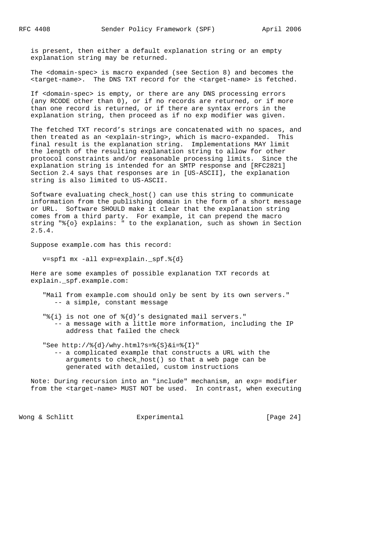is present, then either a default explanation string or an empty explanation string may be returned.

 The <domain-spec> is macro expanded (see Section 8) and becomes the <target-name>. The DNS TXT record for the <target-name> is fetched.

 If <domain-spec> is empty, or there are any DNS processing errors (any RCODE other than 0), or if no records are returned, or if more than one record is returned, or if there are syntax errors in the explanation string, then proceed as if no exp modifier was given.

 The fetched TXT record's strings are concatenated with no spaces, and then treated as an <explain-string>, which is macro-expanded. This final result is the explanation string. Implementations MAY limit the length of the resulting explanation string to allow for other protocol constraints and/or reasonable processing limits. Since the explanation string is intended for an SMTP response and [RFC2821] Section 2.4 says that responses are in [US-ASCII], the explanation string is also limited to US-ASCII.

 Software evaluating check\_host() can use this string to communicate information from the publishing domain in the form of a short message or URL. Software SHOULD make it clear that the explanation string comes from a third party. For example, it can prepend the macro string "%{o} explains: " to the explanation, such as shown in Section 2.5.4.

Suppose example.com has this record:

 $v=spf1$  mx -all exp=explain.  $spf.\$ {d}

 Here are some examples of possible explanation TXT records at explain.\_spf.example.com:

- "Mail from example.com should only be sent by its own servers." -- a simple, constant message
- "%{i} is not one of %{d}'s designated mail servers." -- a message with a little more information, including the IP address that failed the check
- "See http://%{d}/why.html?s=%{S}&i=%{I}" -- a complicated example that constructs a URL with the arguments to check\_host() so that a web page can be generated with detailed, custom instructions

 Note: During recursion into an "include" mechanism, an exp= modifier from the <target-name> MUST NOT be used. In contrast, when executing

Wong & Schlitt **Experimental** Experimental [Page 24]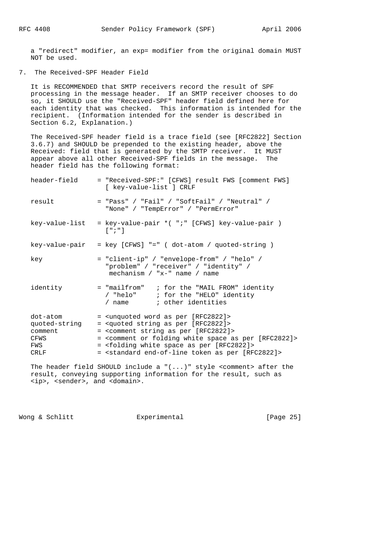RFC 4408 Sender Policy Framework (SPF) April 2006

 a "redirect" modifier, an exp= modifier from the original domain MUST NOT be used.

7. The Received-SPF Header Field

 It is RECOMMENDED that SMTP receivers record the result of SPF processing in the message header. If an SMTP receiver chooses to do so, it SHOULD use the "Received-SPF" header field defined here for each identity that was checked. This information is intended for the recipient. (Information intended for the sender is described in Section 6.2, Explanation.)

 The Received-SPF header field is a trace field (see [RFC2822] Section 3.6.7) and SHOULD be prepended to the existing header, above the Received: field that is generated by the SMTP receiver. It MUST appear above all other Received-SPF fields in the message. The header field has the following format:

| header-field                                                | = "Received-SPF:" [CFWS] result FWS [comment FWS]<br>[ key-value-list ] CRLF                                                                                                                                                                                                                                                                                                                                                   |
|-------------------------------------------------------------|--------------------------------------------------------------------------------------------------------------------------------------------------------------------------------------------------------------------------------------------------------------------------------------------------------------------------------------------------------------------------------------------------------------------------------|
| result                                                      | $=$ "Pass" / "Fail" / "SoftFail" / "Neutral" /<br>"None" / "TempError" / "PermError"                                                                                                                                                                                                                                                                                                                                           |
| key-value-list                                              | = key-value-pair *( ";" [CFWS] key-value-pair )<br>$\lceil$ " ; " ]                                                                                                                                                                                                                                                                                                                                                            |
|                                                             | $key-value-pair = key [CFWS] == (dot-atom / quoted-string)$                                                                                                                                                                                                                                                                                                                                                                    |
| key                                                         | = "client-ip" / "envelope-from" / "helo" /<br>"problem" / "receiver" / "identity" /<br>mechanism $/$ "x-" name $/$ name                                                                                                                                                                                                                                                                                                        |
| identity                                                    | = "mailfrom" ; for the "MAIL FROM" identity<br>/ "helo" ; for the "HELO" identity<br>/ name (a) i other identities                                                                                                                                                                                                                                                                                                             |
| dot-atom<br>quoted-string<br>comment<br>CFWS<br>FWS<br>CRLF | = <unquoted [rfc2822]="" as="" per="" word=""><br/>= <quoted [rfc2822]="" as="" per="" string=""><br/>= <comment [rfc2822]="" as="" per="" string=""><br/>= <comment [rfc2822]="" as="" folding="" or="" per="" space="" white=""><br/>= <folding [rfc2822]="" as="" per="" space="" white=""><br/>= <standard [rfc2822]="" as="" end-of-line="" per="" token=""></standard></folding></comment></comment></quoted></unquoted> |
|                                                             |                                                                                                                                                                                                                                                                                                                                                                                                                                |

 The header field SHOULD include a "(...)" style <comment> after the result, conveying supporting information for the result, such as <ip>, <sender>, and <domain>.

Wong & Schlitt Experimental [Page 25]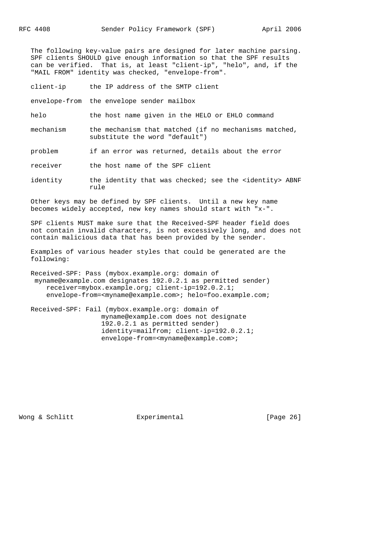The following key-value pairs are designed for later machine parsing. SPF clients SHOULD give enough information so that the SPF results can be verified. That is, at least "client-ip", "helo", and, if the "MAIL FROM" identity was checked, "envelope-from".

client-ip the IP address of the SMTP client

envelope-from the envelope sender mailbox

helo the host name given in the HELO or EHLO command

 mechanism the mechanism that matched (if no mechanisms matched, substitute the word "default")

problem if an error was returned, details about the error

receiver the host name of the SPF client

identity the identity that was checked; see the <identity> ABNF rule

 Other keys may be defined by SPF clients. Until a new key name becomes widely accepted, new key names should start with "x-".

 SPF clients MUST make sure that the Received-SPF header field does not contain invalid characters, is not excessively long, and does not contain malicious data that has been provided by the sender.

 Examples of various header styles that could be generated are the following:

 Received-SPF: Pass (mybox.example.org: domain of myname@example.com designates 192.0.2.1 as permitted sender) receiver=mybox.example.org; client-ip=192.0.2.1; envelope-from=<myname@example.com>; helo=foo.example.com;

 Received-SPF: Fail (mybox.example.org: domain of myname@example.com does not designate 192.0.2.1 as permitted sender) identity=mailfrom; client-ip=192.0.2.1; envelope-from=<myname@example.com>;

Wong & Schlitt Experimental [Page 26]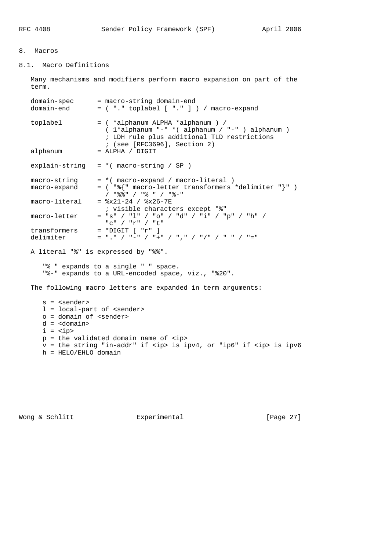# 8. Macros

# 8.1. Macro Definitions

 Many mechanisms and modifiers perform macro expansion on part of the term. domain-spec = macro-string domain-end domain-end = ( "." toplabel [ "." ] ) / macro-expand toplabel = ( \*alphanum ALPHA \*alphanum ) / ( 1\*alphanum "-" \*( alphanum / "-" ) alphanum ) ; LDH rule plus additional TLD restrictions ; (see [RFC3696], Section 2) alphanum = ALPHA / DIGIT explain-string  $= *$  (macro-string / SP ) macro-string = \*( macro-expand / macro-literal ) macro-expand = ( "%{" macro-letter transformers \*delimiter "}" ) / "%%" / "%\_" / "%-"  $macro-literal$  =  $8x21-24 / 8x26-7E$  ; visible characters except "%" macro-letter = "s" / "l" / "o" / "d" / "i" / "p" / "h" / "c" / "r" / "t" transformers = \*DIGIT [ "r" ] delimiter = "." / "-" / "+" / "," / "/" / "\_" / "=" A literal "%" is expressed by "%%". "%\_" expands to a single " " space. "%-" expands to a URL-encoded space, viz., "%20". The following macro letters are expanded in term arguments: s = <sender> l = local-part of <sender> o = domain of <sender> d = <domain>  $i = *ip*$  p = the validated domain name of <ip> v = the string "in-addr" if <ip> is ipv4, or "ip6" if <ip> is ipv6 h = HELO/EHLO domain

Wong & Schlitt Experimental [Page 27]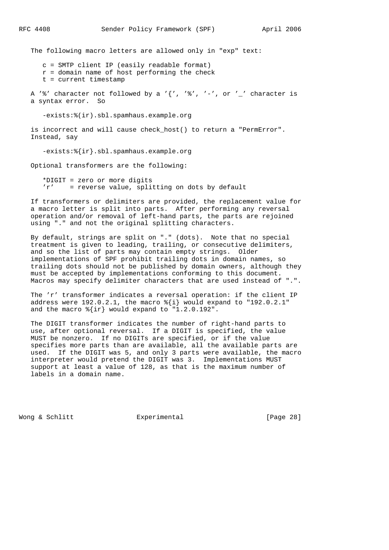The following macro letters are allowed only in "exp" text:

 c = SMTP client IP (easily readable format)  $r =$  domain name of host performing the check t = current timestamp

A '%' character not followed by a '{', '%', '-', or '\_' character is a syntax error. So

-exists:%(ir).sbl.spamhaus.example.org

is incorrect and will cause check host() to return a "PermError". Instead, say

-exists:%{ir}.sbl.spamhaus.example.org

Optional transformers are the following:

 \*DIGIT = zero or more digits 'r' = reverse value, splitting on dots by default

 If transformers or delimiters are provided, the replacement value for a macro letter is split into parts. After performing any reversal operation and/or removal of left-hand parts, the parts are rejoined using "." and not the original splitting characters.

 By default, strings are split on "." (dots). Note that no special treatment is given to leading, trailing, or consecutive delimiters, and so the list of parts may contain empty strings. Older implementations of SPF prohibit trailing dots in domain names, so trailing dots should not be published by domain owners, although they must be accepted by implementations conforming to this document. Macros may specify delimiter characters that are used instead of ".".

 The 'r' transformer indicates a reversal operation: if the client IP address were 192.0.2.1, the macro %{i} would expand to "192.0.2.1" and the macro  $\{ir\}$  would expand to "1.2.0.192".

 The DIGIT transformer indicates the number of right-hand parts to use, after optional reversal. If a DIGIT is specified, the value MUST be nonzero. If no DIGITs are specified, or if the value specifies more parts than are available, all the available parts are used. If the DIGIT was 5, and only 3 parts were available, the macro interpreter would pretend the DIGIT was 3. Implementations MUST support at least a value of 128, as that is the maximum number of labels in a domain name.

Wong & Schlitt Experimental [Page 28]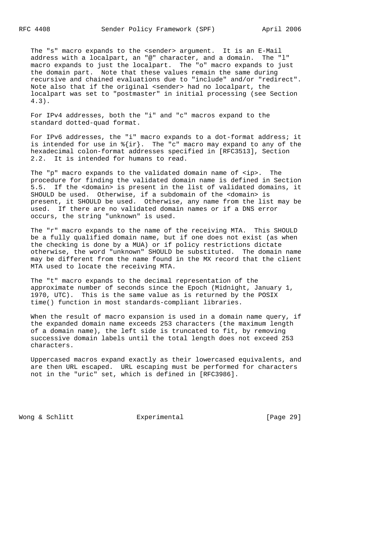The "s" macro expands to the <sender> argument. It is an E-Mail address with a localpart, an "@" character, and a domain. The "l" macro expands to just the localpart. The "o" macro expands to just the domain part. Note that these values remain the same during recursive and chained evaluations due to "include" and/or "redirect". Note also that if the original <sender> had no localpart, the localpart was set to "postmaster" in initial processing (see Section 4.3).

 For IPv4 addresses, both the "i" and "c" macros expand to the standard dotted-quad format.

 For IPv6 addresses, the "i" macro expands to a dot-format address; it is intended for use in  $\{ir\}$ . The "c" macro may expand to any of the hexadecimal colon-format addresses specified in [RFC3513], Section 2.2. It is intended for humans to read.

 The "p" macro expands to the validated domain name of <ip>. The procedure for finding the validated domain name is defined in Section 5.5. If the <domain> is present in the list of validated domains, it SHOULD be used. Otherwise, if a subdomain of the <domain> is present, it SHOULD be used. Otherwise, any name from the list may be used. If there are no validated domain names or if a DNS error occurs, the string "unknown" is used.

 The "r" macro expands to the name of the receiving MTA. This SHOULD be a fully qualified domain name, but if one does not exist (as when the checking is done by a MUA) or if policy restrictions dictate otherwise, the word "unknown" SHOULD be substituted. The domain name may be different from the name found in the MX record that the client MTA used to locate the receiving MTA.

 The "t" macro expands to the decimal representation of the approximate number of seconds since the Epoch (Midnight, January 1, 1970, UTC). This is the same value as is returned by the POSIX time() function in most standards-compliant libraries.

When the result of macro expansion is used in a domain name query, if the expanded domain name exceeds 253 characters (the maximum length of a domain name), the left side is truncated to fit, by removing successive domain labels until the total length does not exceed 253 characters.

 Uppercased macros expand exactly as their lowercased equivalents, and are then URL escaped. URL escaping must be performed for characters not in the "uric" set, which is defined in [RFC3986].

Wong & Schlitt **Experimental** Experimental [Page 29]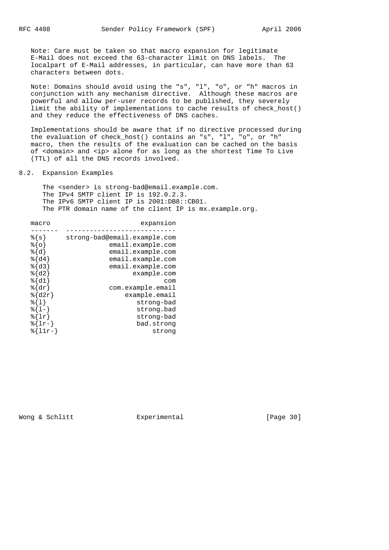Note: Care must be taken so that macro expansion for legitimate E-Mail does not exceed the 63-character limit on DNS labels. The localpart of E-Mail addresses, in particular, can have more than 63 characters between dots.

 Note: Domains should avoid using the "s", "l", "o", or "h" macros in conjunction with any mechanism directive. Although these macros are powerful and allow per-user records to be published, they severely limit the ability of implementations to cache results of check\_host() and they reduce the effectiveness of DNS caches.

 Implementations should be aware that if no directive processed during the evaluation of check\_host() contains an "s", "l", "o", or "h" macro, then the results of the evaluation can be cached on the basis of <domain> and <ip> alone for as long as the shortest Time To Live (TTL) of all the DNS records involved.

8.2. Expansion Examples

 The <sender> is strong-bad@email.example.com. The IPv4 SMTP client IP is 192.0.2.3. The IPv6 SMTP client IP is 2001:DB8::CB01. The PTR domain name of the client IP is mx.example.org.

| macro                      | expansion                    |
|----------------------------|------------------------------|
|                            |                              |
| 8 { s }                    | strong-bad@email.example.com |
| %{ㅇ}                       | email.example.com            |
| %{d}                       | email.example.com            |
| $\{\mathrm{d}4\}$          | email.example.com            |
| $8\{d3\}$                  | email.example.com            |
| $\S{d2}$                   | example.com                  |
| $\delta\{d1\}$             | com                          |
| $\delta\$ dr               | com.example.email            |
| $\{\text{d}2r\}$           | example.email                |
| %{1}                       | strong-bad                   |
| $\{1-\}$                   | strong.bad                   |
| $\{\vert\mathbf{r}\vert\}$ | strong-bad                   |
| $\{l\}$                    | bad.strong                   |
| 응  <br>$11r-$              | strong                       |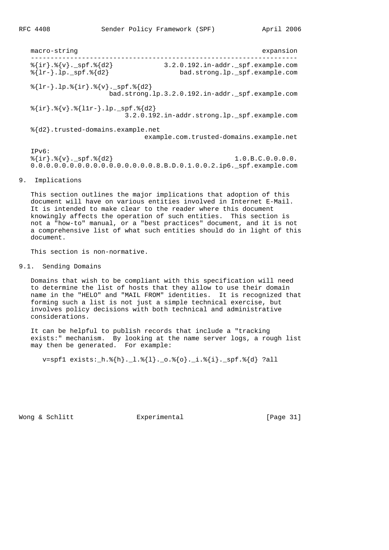macro-string expansion --------------------------------------------------------------------  ${\rm s\{ir\}}.{\rm s\{v\}}.{\rm s\}$   ${\rm spf.}$   ${\rm s\{d2\}}$  3.2.0.192.in-addr.\_spf.example.com %{lr-}.lp.\_spf.%{d2} bad.strong.lp.\_spf.example.com  ${\{lr-\}.lp.\{\{ir\}.\{\{v\}.\_spf.\{\{d2\}\}\}\$  bad.strong.lp.3.2.0.192.in-addr.\_spf.example.com  ${\{ir\}.\\ {\forall}$  .  ${\forall}$  .  ${\{11r-\}.1p._spf.{\{\d}2\}}$  3.2.0.192.in-addr.strong.lp.\_spf.example.com %{d2}.trusted-domains.example.net example.com.trusted-domains.example.net IPv6:  ${\frac{1}{2} \{ir\}. \{v\}.$  spf.  ${\{d2\}}$  1.0.B.C.0.0.0.0. 0.0.0.0.0.0.0.0.0.0.0.0.0.0.0.0.8.B.D.0.1.0.0.2.ip6.\_spf.example.com

# 9. Implications

 This section outlines the major implications that adoption of this document will have on various entities involved in Internet E-Mail. It is intended to make clear to the reader where this document knowingly affects the operation of such entities. This section is not a "how-to" manual, or a "best practices" document, and it is not a comprehensive list of what such entities should do in light of this document.

This section is non-normative.

## 9.1. Sending Domains

 Domains that wish to be compliant with this specification will need to determine the list of hosts that they allow to use their domain name in the "HELO" and "MAIL FROM" identities. It is recognized that forming such a list is not just a simple technical exercise, but involves policy decisions with both technical and administrative considerations.

 It can be helpful to publish records that include a "tracking exists:" mechanism. By looking at the name server logs, a rough list may then be generated. For example:

v=spf1 exists:\_h.%{h}.\_l.%{l}.\_o.%{o}.\_i.%{i}.\_spf.%{d} ?all

Wong & Schlitt **Experimental** Experimental [Page 31]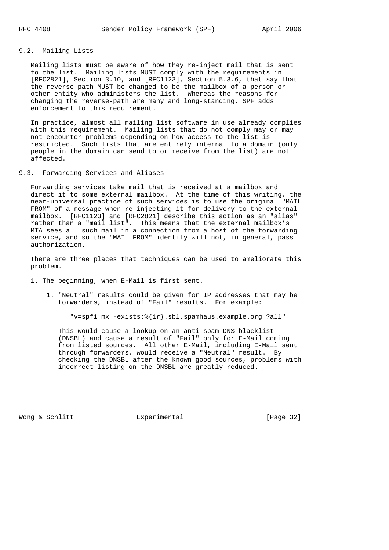# 9.2. Mailing Lists

 Mailing lists must be aware of how they re-inject mail that is sent to the list. Mailing lists MUST comply with the requirements in [RFC2821], Section 3.10, and [RFC1123], Section 5.3.6, that say that the reverse-path MUST be changed to be the mailbox of a person or other entity who administers the list. Whereas the reasons for changing the reverse-path are many and long-standing, SPF adds enforcement to this requirement.

 In practice, almost all mailing list software in use already complies with this requirement. Mailing lists that do not comply may or may not encounter problems depending on how access to the list is restricted. Such lists that are entirely internal to a domain (only people in the domain can send to or receive from the list) are not affected.

9.3. Forwarding Services and Aliases

 Forwarding services take mail that is received at a mailbox and direct it to some external mailbox. At the time of this writing, the near-universal practice of such services is to use the original "MAIL FROM" of a message when re-injecting it for delivery to the external mailbox. [RFC1123] and [RFC2821] describe this action as an "alias" rather than a "mail list". This means that the external mailbox's MTA sees all such mail in a connection from a host of the forwarding service, and so the "MAIL FROM" identity will not, in general, pass authorization.

 There are three places that techniques can be used to ameliorate this problem.

1. The beginning, when E-Mail is first sent.

 1. "Neutral" results could be given for IP addresses that may be forwarders, instead of "Fail" results. For example:

"v=spf1 mx -exists:%{ir}.sbl.spamhaus.example.org ?all"

 This would cause a lookup on an anti-spam DNS blacklist (DNSBL) and cause a result of "Fail" only for E-Mail coming from listed sources. All other E-Mail, including E-Mail sent through forwarders, would receive a "Neutral" result. By checking the DNSBL after the known good sources, problems with incorrect listing on the DNSBL are greatly reduced.

Wong & Schlitt Experimental [Page 32]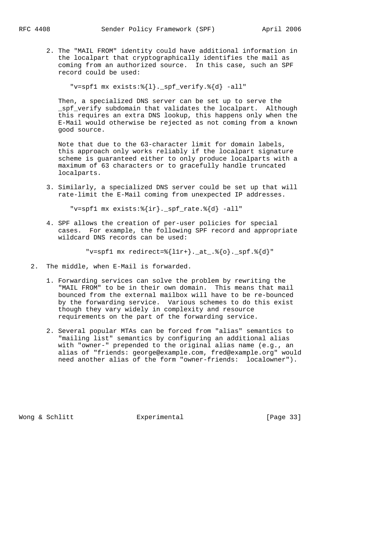2. The "MAIL FROM" identity could have additional information in the localpart that cryptographically identifies the mail as coming from an authorized source. In this case, such an SPF record could be used:

"v=spf1 mx exists:%{1}. spf verify.%{d} -all"

 Then, a specialized DNS server can be set up to serve the spf verify subdomain that validates the localpart. Although this requires an extra DNS lookup, this happens only when the E-Mail would otherwise be rejected as not coming from a known good source.

 Note that due to the 63-character limit for domain labels, this approach only works reliably if the localpart signature scheme is guaranteed either to only produce localparts with a maximum of 63 characters or to gracefully handle truncated localparts.

 3. Similarly, a specialized DNS server could be set up that will rate-limit the E-Mail coming from unexpected IP addresses.

"v=spf1 mx exists:%{ir}.\_spf\_rate.%{d} -all"

 4. SPF allows the creation of per-user policies for special cases. For example, the following SPF record and appropriate wildcard DNS records can be used:

"v=spf1 mx redirect=% $\{11r+\}$ .\_at\_.% $\{o\}$ .\_spf.% $\{d\}$ "

- 2. The middle, when E-Mail is forwarded.
	- 1. Forwarding services can solve the problem by rewriting the "MAIL FROM" to be in their own domain. This means that mail bounced from the external mailbox will have to be re-bounced by the forwarding service. Various schemes to do this exist though they vary widely in complexity and resource requirements on the part of the forwarding service.
	- 2. Several popular MTAs can be forced from "alias" semantics to "mailing list" semantics by configuring an additional alias with "owner-" prepended to the original alias name (e.g., an alias of "friends: george@example.com, fred@example.org" would need another alias of the form "owner-friends: localowner").

Wong & Schlitt Experimental [Page 33]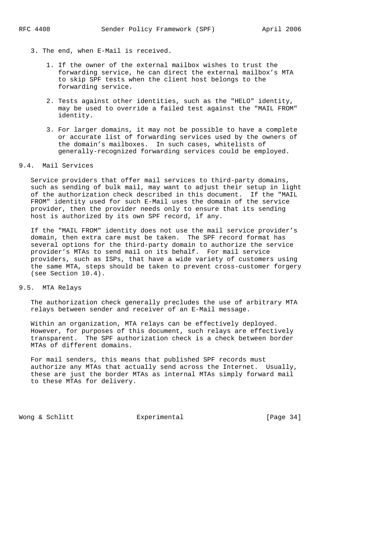- 3. The end, when E-Mail is received.
	- 1. If the owner of the external mailbox wishes to trust the forwarding service, he can direct the external mailbox's MTA to skip SPF tests when the client host belongs to the forwarding service.
	- 2. Tests against other identities, such as the "HELO" identity, may be used to override a failed test against the "MAIL FROM" identity.
	- 3. For larger domains, it may not be possible to have a complete or accurate list of forwarding services used by the owners of the domain's mailboxes. In such cases, whitelists of generally-recognized forwarding services could be employed.

## 9.4. Mail Services

 Service providers that offer mail services to third-party domains, such as sending of bulk mail, may want to adjust their setup in light of the authorization check described in this document. If the "MAIL FROM" identity used for such E-Mail uses the domain of the service provider, then the provider needs only to ensure that its sending host is authorized by its own SPF record, if any.

 If the "MAIL FROM" identity does not use the mail service provider's domain, then extra care must be taken. The SPF record format has several options for the third-party domain to authorize the service provider's MTAs to send mail on its behalf. For mail service providers, such as ISPs, that have a wide variety of customers using the same MTA, steps should be taken to prevent cross-customer forgery (see Section 10.4).

# 9.5. MTA Relays

 The authorization check generally precludes the use of arbitrary MTA relays between sender and receiver of an E-Mail message.

 Within an organization, MTA relays can be effectively deployed. However, for purposes of this document, such relays are effectively transparent. The SPF authorization check is a check between border MTAs of different domains.

 For mail senders, this means that published SPF records must authorize any MTAs that actually send across the Internet. Usually, these are just the border MTAs as internal MTAs simply forward mail to these MTAs for delivery.

Wong & Schlitt **Experimental** Experimental [Page 34]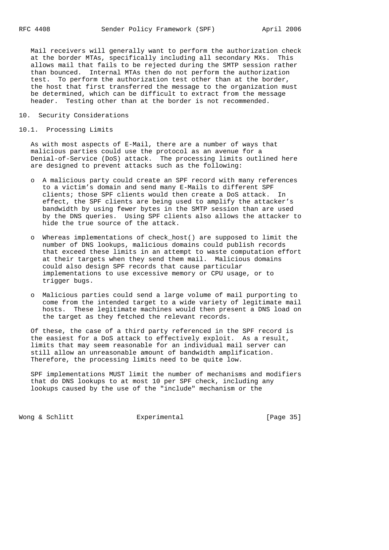Mail receivers will generally want to perform the authorization check at the border MTAs, specifically including all secondary MXs. This allows mail that fails to be rejected during the SMTP session rather than bounced. Internal MTAs then do not perform the authorization test. To perform the authorization test other than at the border, the host that first transferred the message to the organization must be determined, which can be difficult to extract from the message header. Testing other than at the border is not recommended.

## 10. Security Considerations

#### 10.1. Processing Limits

 As with most aspects of E-Mail, there are a number of ways that malicious parties could use the protocol as an avenue for a Denial-of-Service (DoS) attack. The processing limits outlined here are designed to prevent attacks such as the following:

- o A malicious party could create an SPF record with many references to a victim's domain and send many E-Mails to different SPF clients; those SPF clients would then create a DoS attack. In effect, the SPF clients are being used to amplify the attacker's bandwidth by using fewer bytes in the SMTP session than are used by the DNS queries. Using SPF clients also allows the attacker to hide the true source of the attack.
- o Whereas implementations of check\_host() are supposed to limit the number of DNS lookups, malicious domains could publish records that exceed these limits in an attempt to waste computation effort at their targets when they send them mail. Malicious domains could also design SPF records that cause particular implementations to use excessive memory or CPU usage, or to trigger bugs.
- o Malicious parties could send a large volume of mail purporting to come from the intended target to a wide variety of legitimate mail hosts. These legitimate machines would then present a DNS load on the target as they fetched the relevant records.

 Of these, the case of a third party referenced in the SPF record is the easiest for a DoS attack to effectively exploit. As a result, limits that may seem reasonable for an individual mail server can still allow an unreasonable amount of bandwidth amplification. Therefore, the processing limits need to be quite low.

 SPF implementations MUST limit the number of mechanisms and modifiers that do DNS lookups to at most 10 per SPF check, including any lookups caused by the use of the "include" mechanism or the

Wong & Schlitt **Experimental** [Page 35]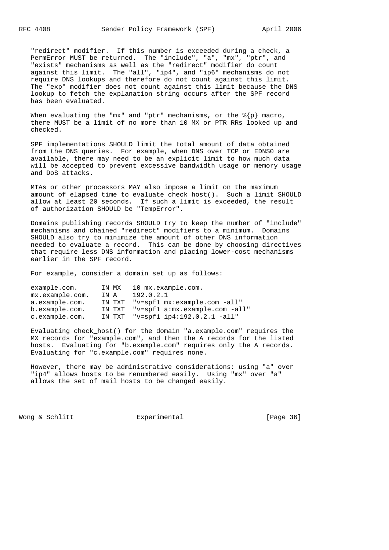"redirect" modifier. If this number is exceeded during a check, a PermError MUST be returned. The "include", "a", "mx", "ptr", and "exists" mechanisms as well as the "redirect" modifier do count against this limit. The "all", "ip4", and "ip6" mechanisms do not require DNS lookups and therefore do not count against this limit. The "exp" modifier does not count against this limit because the DNS lookup to fetch the explanation string occurs after the SPF record has been evaluated.

When evaluating the "mx" and "ptr" mechanisms, or the  ${\frac{1}{2}}$  macro, there MUST be a limit of no more than 10 MX or PTR RRs looked up and checked.

 SPF implementations SHOULD limit the total amount of data obtained from the DNS queries. For example, when DNS over TCP or EDNS0 are available, there may need to be an explicit limit to how much data will be accepted to prevent excessive bandwidth usage or memory usage and DoS attacks.

 MTAs or other processors MAY also impose a limit on the maximum amount of elapsed time to evaluate check\_host(). Such a limit SHOULD allow at least 20 seconds. If such a limit is exceeded, the result of authorization SHOULD be "TempError".

 Domains publishing records SHOULD try to keep the number of "include" mechanisms and chained "redirect" modifiers to a minimum. Domains SHOULD also try to minimize the amount of other DNS information needed to evaluate a record. This can be done by choosing directives that require less DNS information and placing lower-cost mechanisms earlier in the SPF record.

For example, consider a domain set up as follows:

| example.com.              | IN MX  | 10 mx.example.com.                    |
|---------------------------|--------|---------------------------------------|
| $mx \text{.example.com.}$ | IN A   | 192.0.2.1                             |
| a.example.com.            | IN TXT | "v=spf1 mx:example.com -all"          |
| b.example.com.            |        | IN TXT "v=spf1 a:mx.example.com -all" |
| c.example.com.            |        | IN TXT "v=spf1 ip4:192.0.2.1 -all"    |

 Evaluating check\_host() for the domain "a.example.com" requires the MX records for "example.com", and then the A records for the listed hosts. Evaluating for "b.example.com" requires only the A records. Evaluating for "c.example.com" requires none.

 However, there may be administrative considerations: using "a" over "ip4" allows hosts to be renumbered easily. Using "mx" over "a" allows the set of mail hosts to be changed easily.

Wong & Schlitt Experimental [Page 36]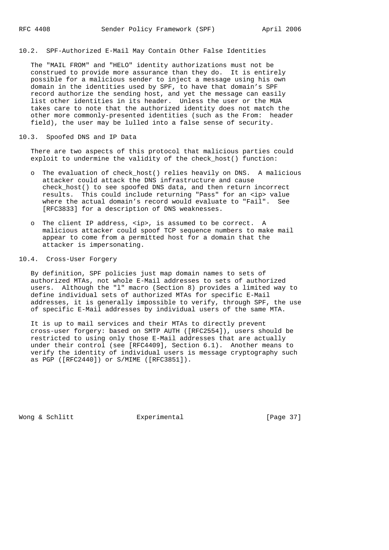## 10.2. SPF-Authorized E-Mail May Contain Other False Identities

 The "MAIL FROM" and "HELO" identity authorizations must not be construed to provide more assurance than they do. It is entirely possible for a malicious sender to inject a message using his own domain in the identities used by SPF, to have that domain's SPF record authorize the sending host, and yet the message can easily list other identities in its header. Unless the user or the MUA takes care to note that the authorized identity does not match the other more commonly-presented identities (such as the From: header field), the user may be lulled into a false sense of security.

#### 10.3. Spoofed DNS and IP Data

 There are two aspects of this protocol that malicious parties could exploit to undermine the validity of the check\_host() function:

- o The evaluation of check\_host() relies heavily on DNS. A malicious attacker could attack the DNS infrastructure and cause check\_host() to see spoofed DNS data, and then return incorrect results. This could include returning "Pass" for an <ip> value where the actual domain's record would evaluate to "Fail". See [RFC3833] for a description of DNS weaknesses.
- o The client IP address, <ip>, is assumed to be correct. A malicious attacker could spoof TCP sequence numbers to make mail appear to come from a permitted host for a domain that the attacker is impersonating.

# 10.4. Cross-User Forgery

 By definition, SPF policies just map domain names to sets of authorized MTAs, not whole E-Mail addresses to sets of authorized users. Although the "l" macro (Section 8) provides a limited way to define individual sets of authorized MTAs for specific E-Mail addresses, it is generally impossible to verify, through SPF, the use of specific E-Mail addresses by individual users of the same MTA.

 It is up to mail services and their MTAs to directly prevent cross-user forgery: based on SMTP AUTH ([RFC2554]), users should be restricted to using only those E-Mail addresses that are actually under their control (see [RFC4409], Section 6.1). Another means to verify the identity of individual users is message cryptography such as PGP ([RFC2440]) or S/MIME ([RFC3851]).

Wong & Schlitt **Experimental** Experimental [Page 37]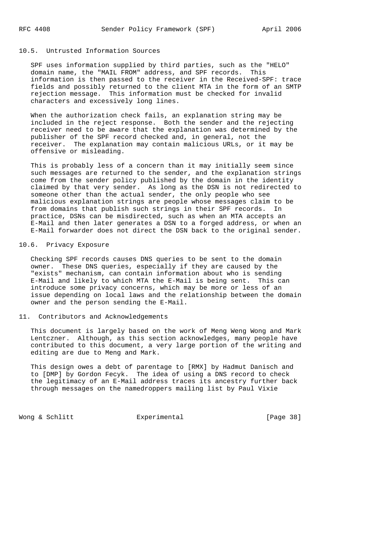## 10.5. Untrusted Information Sources

 SPF uses information supplied by third parties, such as the "HELO" domain name, the "MAIL FROM" address, and SPF records. This information is then passed to the receiver in the Received-SPF: trace fields and possibly returned to the client MTA in the form of an SMTP rejection message. This information must be checked for invalid characters and excessively long lines.

 When the authorization check fails, an explanation string may be included in the reject response. Both the sender and the rejecting receiver need to be aware that the explanation was determined by the publisher of the SPF record checked and, in general, not the receiver. The explanation may contain malicious URLs, or it may be offensive or misleading.

 This is probably less of a concern than it may initially seem since such messages are returned to the sender, and the explanation strings come from the sender policy published by the domain in the identity claimed by that very sender. As long as the DSN is not redirected to someone other than the actual sender, the only people who see malicious explanation strings are people whose messages claim to be from domains that publish such strings in their SPF records. In practice, DSNs can be misdirected, such as when an MTA accepts an E-Mail and then later generates a DSN to a forged address, or when an E-Mail forwarder does not direct the DSN back to the original sender.

# 10.6. Privacy Exposure

 Checking SPF records causes DNS queries to be sent to the domain owner. These DNS queries, especially if they are caused by the "exists" mechanism, can contain information about who is sending E-Mail and likely to which MTA the E-Mail is being sent. This can introduce some privacy concerns, which may be more or less of an issue depending on local laws and the relationship between the domain owner and the person sending the E-Mail.

### 11. Contributors and Acknowledgements

 This document is largely based on the work of Meng Weng Wong and Mark Lentczner. Although, as this section acknowledges, many people have contributed to this document, a very large portion of the writing and editing are due to Meng and Mark.

 This design owes a debt of parentage to [RMX] by Hadmut Danisch and to [DMP] by Gordon Fecyk. The idea of using a DNS record to check the legitimacy of an E-Mail address traces its ancestry further back through messages on the namedroppers mailing list by Paul Vixie

Wong & Schlitt **Experimental** Experimental [Page 38]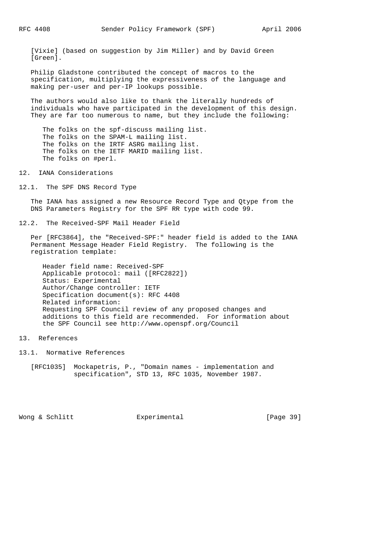[Vixie] (based on suggestion by Jim Miller) and by David Green [Green].

 Philip Gladstone contributed the concept of macros to the specification, multiplying the expressiveness of the language and making per-user and per-IP lookups possible.

 The authors would also like to thank the literally hundreds of individuals who have participated in the development of this design. They are far too numerous to name, but they include the following:

 The folks on the spf-discuss mailing list. The folks on the SPAM-L mailing list. The folks on the IRTF ASRG mailing list. The folks on the IETF MARID mailing list. The folks on #perl.

12. IANA Considerations

12.1. The SPF DNS Record Type

 The IANA has assigned a new Resource Record Type and Qtype from the DNS Parameters Registry for the SPF RR type with code 99.

12.2. The Received-SPF Mail Header Field

 Per [RFC3864], the "Received-SPF:" header field is added to the IANA Permanent Message Header Field Registry. The following is the registration template:

 Header field name: Received-SPF Applicable protocol: mail ([RFC2822]) Status: Experimental Author/Change controller: IETF Specification document(s): RFC 4408 Related information: Requesting SPF Council review of any proposed changes and additions to this field are recommended. For information about the SPF Council see http://www.openspf.org/Council

13. References

- 13.1. Normative References
	- [RFC1035] Mockapetris, P., "Domain names implementation and specification", STD 13, RFC 1035, November 1987.

Wong & Schlitt Experimental [Page 39]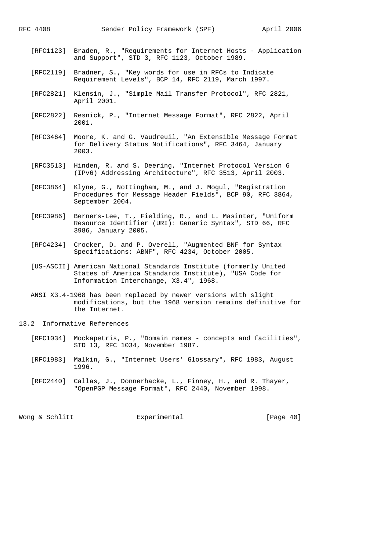- [RFC1123] Braden, R., "Requirements for Internet Hosts Application and Support", STD 3, RFC 1123, October 1989.
- [RFC2119] Bradner, S., "Key words for use in RFCs to Indicate Requirement Levels", BCP 14, RFC 2119, March 1997.
- [RFC2821] Klensin, J., "Simple Mail Transfer Protocol", RFC 2821, April 2001.
- [RFC2822] Resnick, P., "Internet Message Format", RFC 2822, April 2001.
- [RFC3464] Moore, K. and G. Vaudreuil, "An Extensible Message Format for Delivery Status Notifications", RFC 3464, January 2003.
- [RFC3513] Hinden, R. and S. Deering, "Internet Protocol Version 6 (IPv6) Addressing Architecture", RFC 3513, April 2003.
- [RFC3864] Klyne, G., Nottingham, M., and J. Mogul, "Registration Procedures for Message Header Fields", BCP 90, RFC 3864, September 2004.
- [RFC3986] Berners-Lee, T., Fielding, R., and L. Masinter, "Uniform Resource Identifier (URI): Generic Syntax", STD 66, RFC 3986, January 2005.
- [RFC4234] Crocker, D. and P. Overell, "Augmented BNF for Syntax Specifications: ABNF", RFC 4234, October 2005.
- [US-ASCII] American National Standards Institute (formerly United States of America Standards Institute), "USA Code for Information Interchange, X3.4", 1968.
- ANSI X3.4-1968 has been replaced by newer versions with slight modifications, but the 1968 version remains definitive for the Internet.
- 13.2 Informative References
	- [RFC1034] Mockapetris, P., "Domain names concepts and facilities", STD 13, RFC 1034, November 1987.
	- [RFC1983] Malkin, G., "Internet Users' Glossary", RFC 1983, August 1996.
	- [RFC2440] Callas, J., Donnerhacke, L., Finney, H., and R. Thayer, "OpenPGP Message Format", RFC 2440, November 1998.

Wong & Schlitt Experimental [Page 40]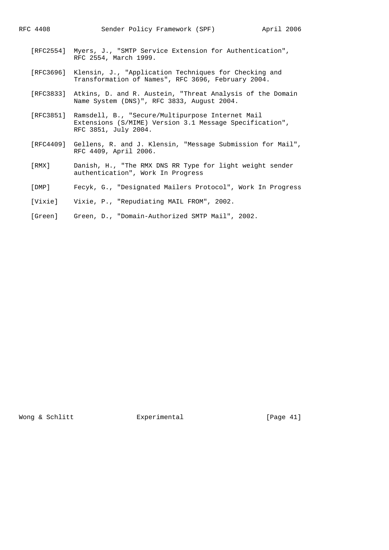- [RFC2554] Myers, J., "SMTP Service Extension for Authentication", RFC 2554, March 1999.
- [RFC3696] Klensin, J., "Application Techniques for Checking and Transformation of Names", RFC 3696, February 2004.
- [RFC3833] Atkins, D. and R. Austein, "Threat Analysis of the Domain Name System (DNS)", RFC 3833, August 2004.
- [RFC3851] Ramsdell, B., "Secure/Multipurpose Internet Mail Extensions (S/MIME) Version 3.1 Message Specification", RFC 3851, July 2004.
- [RFC4409] Gellens, R. and J. Klensin, "Message Submission for Mail", RFC 4409, April 2006.
- [RMX] Danish, H., "The RMX DNS RR Type for light weight sender authentication", Work In Progress
- [DMP] Fecyk, G., "Designated Mailers Protocol", Work In Progress
- [Vixie] Vixie, P., "Repudiating MAIL FROM", 2002.
- [Green] Green, D., "Domain-Authorized SMTP Mail", 2002.

Wong & Schlitt **Experimental** Experimental [Page 41]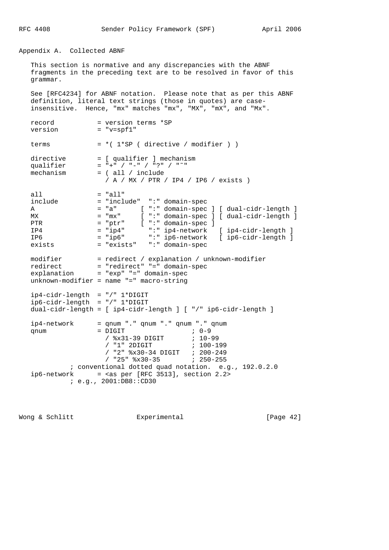RFC 4408 Sender Policy Framework (SPF) April 2006

Appendix A. Collected ABNF

record = version terms \*SP

 This section is normative and any discrepancies with the ABNF fragments in the preceding text are to be resolved in favor of this grammar.

 See [RFC4234] for ABNF notation. Please note that as per this ABNF definition, literal text strings (those in quotes) are case insensitive. Hence, "mx" matches "mx", "MX", "mX", and "Mx".

version = "v=spf1" terms  $= * ( 1 * SP ( 1 * CP )$ directive = [ qualifier ] mechanism qualifier = "+" / "-" / "?" / "˜" mechanism = ( all / include / A / MX / PTR / IP4 / IP6 / exists ) all  $=$  "all" include = "include" ":" domain-spec A = "a" [ ":" domain-spec ] [ dual-cidr-length ] MX = "mx" [ ":" domain-spec ] [ dual-cidr-length ] PTR = "ptr" [ ":" domain-spec ] IP4 = "ip4" ":" ip4-network [ ip4-cidr-length ] IP6 = "ip6" ":" ip6-network [ ip6-cidr-length ] exists = "exists" ":" domain-spec modifier = redirect / explanation / unknown-modifier redirect = "redirect" "=" domain-spec explanation = "exp" "=" domain-spec unknown-modifier = name "=" macro-string ip4-cidr-length = "/" 1\*DIGIT ip6-cidr-length = "/" 1\*DIGIT dual-cidr-length = [ ip4-cidr-length ] [ "/" ip6-cidr-length ] ip4-network = qnum "." qnum "." qnum "." qnum qnum = DIGIT ; 0-9 / %x31-39 DIGIT ; 10-99 / "1" 2DIGIT ; 100-199 / "2" %x30-34 DIGIT ; 200-249 / "25" %x30-35 ; 250-255 ; conventional dotted quad notation. e.g., 192.0.2.0  $ip6-network$  = <as per [RFC 3513], section 2.2> ; e.g., 2001:DB8::CD30

Wong & Schlitt Experimental [Page 42]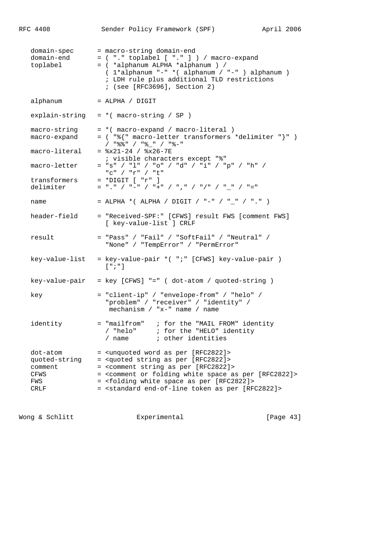| RFC 4408                                                    | Sender Policy Framework (SPF)<br>April 2006                                                                                                                                                                                                                                                                                                                                                                                    |  |
|-------------------------------------------------------------|--------------------------------------------------------------------------------------------------------------------------------------------------------------------------------------------------------------------------------------------------------------------------------------------------------------------------------------------------------------------------------------------------------------------------------|--|
| domain-spec<br>domain-end<br>toplabel                       | = macro-string domain-end<br>= ( "." toplabel [ "." ] ) / macro-expand<br>= ( *alphanum ALPHA *alphanum ) /<br>(1*alphanum "-" * (alphanum / "-" ) alphanum )<br>; LDH rule plus additional TLD restrictions<br>; (see [RFC3696], Section 2)                                                                                                                                                                                   |  |
| alphanum                                                    | $=$ ALPHA / DIGIT                                                                                                                                                                                                                                                                                                                                                                                                              |  |
| explain-string                                              | $= *$ (macro-string / SP )                                                                                                                                                                                                                                                                                                                                                                                                     |  |
| macro-string<br>macro-expand<br>macro-literal               | = *( macro-expand / macro-literal )<br>= ( "%{" macro-letter transformers *delimiter "}" )<br>/ "응응 " / "응 " / "응-"<br>$=$ $x21-24$ / $x26-7E$                                                                                                                                                                                                                                                                                 |  |
| macro-letter                                                | ; visible characters except "%"<br>= "s" / "l" / "o" / "d" / "i" / "p" / "h" /<br>"c" / "r" / "t"                                                                                                                                                                                                                                                                                                                              |  |
| transformers<br>delimiter                                   | $=$ *DIGIT $[$ "r" $]$<br>$=$ "," / "-" / "+" / "," / "/" / " " / "="                                                                                                                                                                                                                                                                                                                                                          |  |
| name                                                        | = ALPHA *( ALPHA / DIGIT / "-" / "_" / "." )                                                                                                                                                                                                                                                                                                                                                                                   |  |
| header-field                                                | = "Received-SPF:" [CFWS] result FWS [comment FWS]<br>[ key-value-list ] CRLF                                                                                                                                                                                                                                                                                                                                                   |  |
| result                                                      | = "Pass" / "Fail" / "SoftFail" / "Neutral" /<br>"None" / "TempError" / "PermError"                                                                                                                                                                                                                                                                                                                                             |  |
| key-value-list                                              | = key-value-pair *( ";" [CFWS] key-value-pair )<br>$[$ "; "]                                                                                                                                                                                                                                                                                                                                                                   |  |
| key-value-pair                                              | = key [CFWS] "=" ( dot-atom / quoted-string )                                                                                                                                                                                                                                                                                                                                                                                  |  |
| key                                                         | = "client-ip" / "envelope-from" / "helo" /<br>"problem" / "receiver" / "identity" /<br>mechanism / "x-" name / name                                                                                                                                                                                                                                                                                                            |  |
| identity                                                    | = "mailfrom" ; for the "MAIL FROM" identity<br>/ "helo" ; for the "HELO" identity<br>/ name (a) i other identities                                                                                                                                                                                                                                                                                                             |  |
| dot-atom<br>quoted-string<br>comment<br>CFWS<br>FWS<br>CRLF | = <unquoted [rfc2822]="" as="" per="" word=""><br/>= <quoted [rfc2822]="" as="" per="" string=""><br/>= <comment [rfc2822]="" as="" per="" string=""><br/>= <comment [rfc2822]="" as="" folding="" or="" per="" space="" white=""><br/>= <folding [rfc2822]="" as="" per="" space="" white=""><br/>= <standard [rfc2822]="" as="" end-of-line="" per="" token=""></standard></folding></comment></comment></quoted></unquoted> |  |

Wong & Schlitt **Experimental** Experimental [Page 43]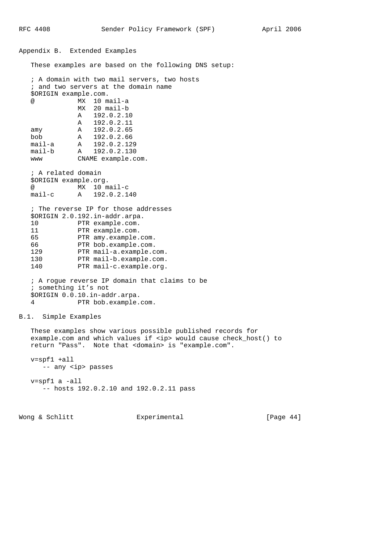Appendix B. Extended Examples These examples are based on the following DNS setup: ; A domain with two mail servers, two hosts ; and two servers at the domain name \$ORIGIN example.com. @ MX 10 mail-a MX 20 mail-b A 192.0.2.10 A 192.0.2.11 amy A 192.0.2.65 bob A 192.0.2.66 mail-a A 192.0.2.129 mail-b A 192.0.2.130 www CNAME example.com. ; A related domain \$ORIGIN example.org. @ MX 10 mail-c mail-c A 192.0.2.140 ; The reverse IP for those addresses \$ORIGIN 2.0.192.in-addr.arpa. 10 PTR example.com. 11 PTR example.com. 65 PTR amy.example.com. 66 PTR bob.example.com.<br>129 PTR mail-a.example.c PTR mail-a.example.com. 130 PTR mail-b.example.com. 140 PTR mail-c.example.org. ; A rogue reverse IP domain that claims to be ; something it's not \$ORIGIN 0.0.10.in-addr.arpa. 4 PTR bob.example.com. B.1. Simple Examples These examples show various possible published records for example.com and which values if <ip> would cause check\_host() to return "Pass". Note that <domain> is "example.com". v=spf1 +all -- any <ip> passes v=spf1 a -all -- hosts 192.0.2.10 and 192.0.2.11 pass

Wong & Schlitt Experimental Experimental [Page 44]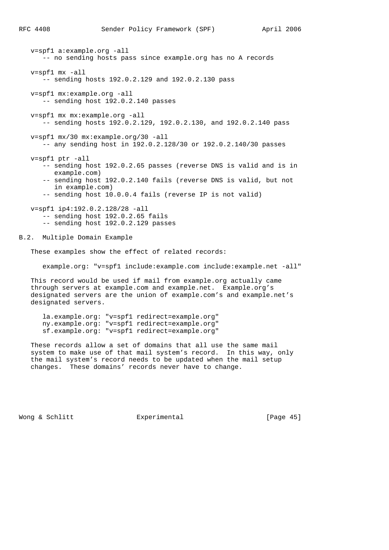v=spf1 a:example.org -all -- no sending hosts pass since example.org has no A records v=spf1 mx -all -- sending hosts 192.0.2.129 and 192.0.2.130 pass v=spf1 mx:example.org -all -- sending host 192.0.2.140 passes v=spf1 mx mx:example.org -all -- sending hosts 192.0.2.129, 192.0.2.130, and 192.0.2.140 pass v=spf1 mx/30 mx:example.org/30 -all -- any sending host in 192.0.2.128/30 or 192.0.2.140/30 passes v=spf1 ptr -all -- sending host 192.0.2.65 passes (reverse DNS is valid and is in example.com) -- sending host 192.0.2.140 fails (reverse DNS is valid, but not in example.com) -- sending host 10.0.0.4 fails (reverse IP is not valid) v=spf1 ip4:192.0.2.128/28 -all -- sending host 192.0.2.65 fails -- sending host 192.0.2.129 passes B.2. Multiple Domain Example These examples show the effect of related records: example.org: "v=spf1 include:example.com include:example.net -all" This record would be used if mail from example.org actually came through servers at example.com and example.net. Example.org's designated servers are the union of example.com's and example.net's designated servers. la.example.org: "v=spf1 redirect=example.org" ny.example.org: "v=spf1 redirect=example.org" sf.example.org: "v=spf1 redirect=example.org"

 These records allow a set of domains that all use the same mail system to make use of that mail system's record. In this way, only the mail system's record needs to be updated when the mail setup changes. These domains' records never have to change.

Wong & Schlitt Experimental [Page 45]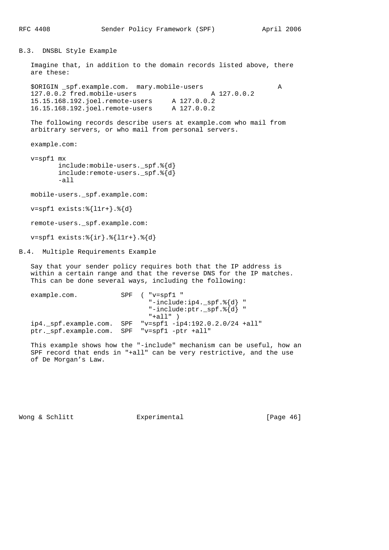B.3. DNSBL Style Example

 Imagine that, in addition to the domain records listed above, there are these:

\$ORIGIN \_spf.example.com. mary.mobile-users<br>127.0.0.2 fred.mobile-users A 127.0.0.2 127.0.0.2 fred.mobile-users A 127.0.0.2 15.15.168.192.joel.remote-users A 127.0.0.2 16.15.168.192.joel.remote-users A 127.0.0.2

 The following records describe users at example.com who mail from arbitrary servers, or who mail from personal servers.

example.com:

 v=spf1 mx include:mobile-users.\_spf.%{d} include:remote-users.\_spf.%{d} -all

mobile-users.\_spf.example.com:

v=spf1 exists:%{l1r+}.%{d}

remote-users.\_spf.example.com:

v=spf1 exists:%{ir}.%{l1r+}.%{d}

B.4. Multiple Requirements Example

 Say that your sender policy requires both that the IP address is within a certain range and that the reverse DNS for the IP matches. This can be done several ways, including the following:

example.com. SPF ( "v=spf1 " "-include:ip4.\_spf.%{d} " "-include:ptr.\_spf.%{d} "  $"+all"$ ) ip4.\_spf.example.com. SPF "v=spf1 -ip4:192.0.2.0/24 +all" ptr.\_spf.example.com. SPF "v=spf1 -ptr +all"

 This example shows how the "-include" mechanism can be useful, how an SPF record that ends in "+all" can be very restrictive, and the use of De Morgan's Law.

Wong & Schlitt Experimental [Page 46]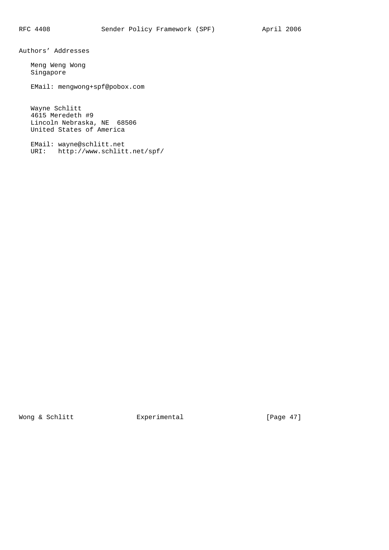Authors' Addresses

 Meng Weng Wong Singapore

EMail: mengwong+spf@pobox.com

 Wayne Schlitt 4615 Meredeth #9 Lincoln Nebraska, NE 68506 United States of America

 EMail: wayne@schlitt.net URI: http://www.schlitt.net/spf/

Wong & Schlitt **Experimental** Experimental [Page 47]